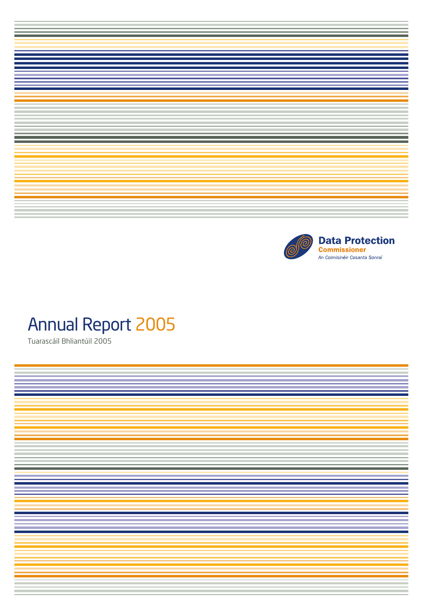

# Annual Report 2005

Tuarascáil Bhliantúil 2005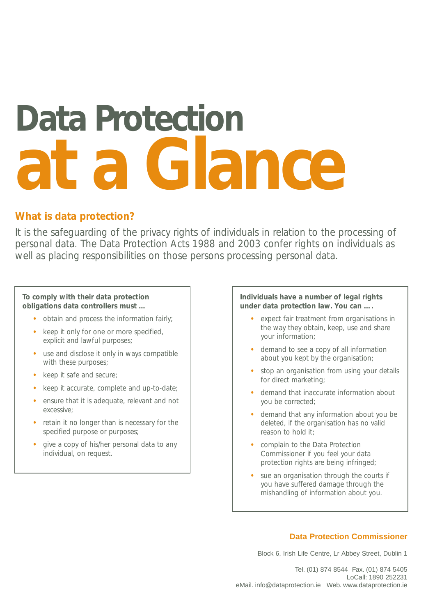# **Data Protection at a Glance**

### **What is data protection?**

It is the safeguarding of the privacy rights of individuals in relation to the processing of personal data. The Data Protection Acts 1988 and 2003 confer rights on individuals as well as placing responsibilities on those persons processing personal data.

### **To comply with their data protection obligations data controllers must …**

- **•** obtain and process the information fairly;
- **•** keep it only for one or more specified, explicit and lawful purposes;
- **•** use and disclose it only in ways compatible with these purposes;
- **•** keep it safe and secure;
- **•** keep it accurate, complete and up-to-date;
- **•** ensure that it is adequate, relevant and not excessive;
- **•** retain it no longer than is necessary for the specified purpose or purposes;
- **•** give a copy of his/her personal data to any individual, on request.

### **Individuals have a number of legal rights under data protection law. You can ….**

- **•** expect fair treatment from organisations in the way they obtain, keep, use and share your information;
- **•** demand to see a copy of all information about you kept by the organisation;
- **•** stop an organisation from using your details for direct marketing;
- **•** demand that inaccurate information about you be corrected;
- **•** demand that any information about you be deleted, if the organisation has no valid reason to hold it;
- **•** complain to the Data Protection Commissioner if you feel your data protection rights are being infringed;
- **•** sue an organisation through the courts if you have suffered damage through the mishandling of information about you.

### **Data Protection Commissioner**

Block 6, Irish Life Centre, Lr Abbey Street, Dublin 1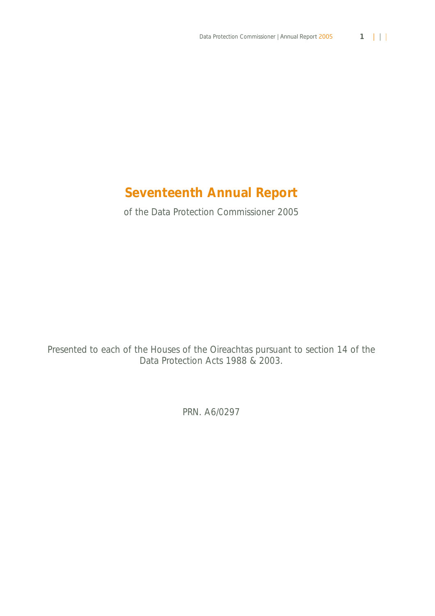### **Seventeenth Annual Report**

of the Data Protection Commissioner 2005

Presented to each of the Houses of the Oireachtas pursuant to section 14 of the Data Protection Acts 1988 & 2003.

PRN. A6/0297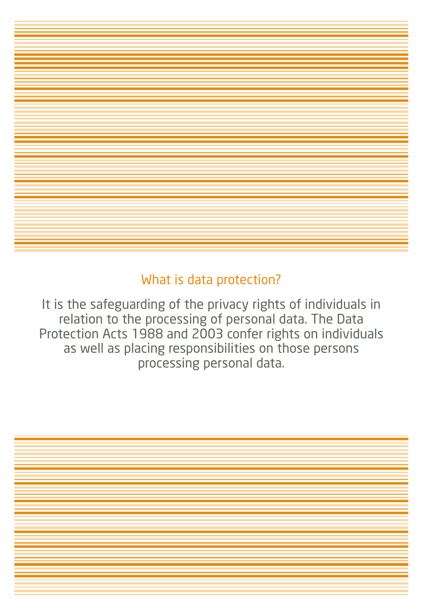## What is data protection?

It is the safeguarding of the privacy rights of individuals in relation to the processing of personal data. The Data Protection Acts 1988 and 2003 confer rights on individuals as well as placing responsibilities on those persons processing personal data.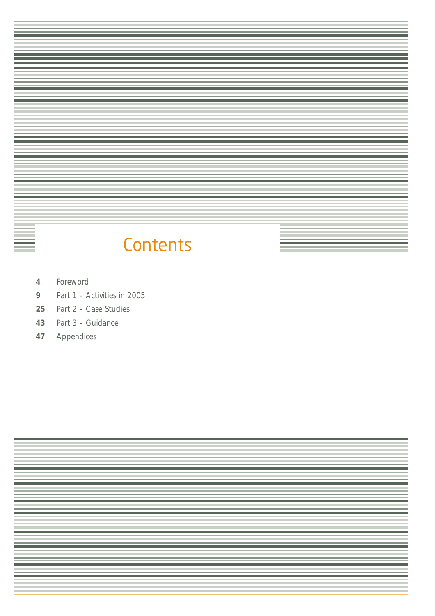# **Contents**

- Foreword
- Part 1 Activities in 2005
- Part 2 Case Studies
- Part 3 Guidance
- Appendices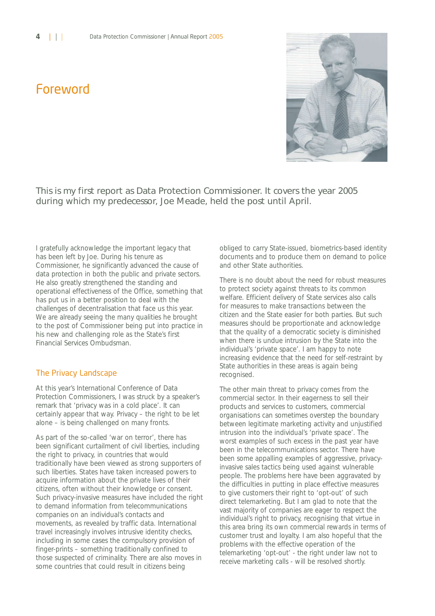### Foreword



This is my first report as Data Protection Commissioner. It covers the year 2005 during which my predecessor, Joe Meade, held the post until April.

I gratefully acknowledge the important legacy that has been left by Joe. During his tenure as Commissioner, he significantly advanced the cause of data protection in both the public and private sectors. He also greatly strengthened the standing and operational effectiveness of the Office, something that has put us in a better position to deal with the challenges of decentralisation that face us this year. We are already seeing the many qualities he brought to the post of Commissioner being put into practice in his new and challenging role as the State's first Financial Services Ombudsman.

### The Privacy Landscape

At this year's International Conference of Data Protection Commissioners, I was struck by a speaker's remark that 'privacy was in a cold place'. It can certainly appear that way. Privacy – *the right to be let alone* – is being challenged on many fronts.

As part of the so-called 'war on terror', there has been significant curtailment of civil liberties, including the right to privacy, in countries that would traditionally have been viewed as strong supporters of such liberties. States have taken increased powers to acquire information about the private lives of their citizens, often without their knowledge or consent. Such privacy-invasive measures have included the right to demand information from telecommunications companies on an individual's contacts and movements, as revealed by traffic data. International travel increasingly involves intrusive identity checks, including in some cases the compulsory provision of finger-prints – something traditionally confined to those suspected of criminality. There are also moves in some countries that could result in citizens being

obliged to carry State-issued, biometrics-based identity documents and to produce them on demand to police and other State authorities.

There is no doubt about the need for robust measures to protect society against threats to its common welfare. Efficient delivery of State services also calls for measures to make transactions between the citizen and the State easier for both parties. But such measures should be proportionate and acknowledge that the quality of a democratic society is diminished when there is undue intrusion by the State into the individual's 'private space'. I am happy to note increasing evidence that the need for self-restraint by State authorities in these areas is again being recognised.

The other main threat to privacy comes from the commercial sector. In their eagerness to sell their products and services to customers, commercial organisations can sometimes overstep the boundary between legitimate marketing activity and unjustified intrusion into the individual's 'private space'. The worst examples of such excess in the past year have been in the telecommunications sector. There have been some appalling examples of aggressive, privacyinvasive sales tactics being used against vulnerable people. The problems here have been aggravated by the difficulties in putting in place effective measures to give customers their right to 'opt-out' of such direct telemarketing. But I am glad to note that the vast majority of companies are eager to respect the individual's right to privacy, recognising that virtue in this area bring its own commercial rewards in terms of customer trust and loyalty. I am also hopeful that the problems with the effective operation of the telemarketing 'opt-out' - the right under law not to receive marketing calls - will be resolved shortly.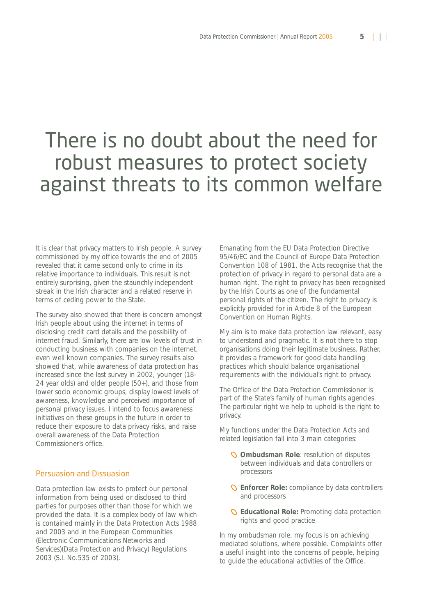# There is no doubt about the need for robust measures to protect society against threats to its common welfare

It is clear that privacy matters to Irish people. A survey commissioned by my office towards the end of 2005 revealed that it came second only to crime in its relative importance to individuals. This result is not entirely surprising, given the staunchly independent streak in the Irish character and a related reserve in terms of ceding power to the State.

The survey also showed that there is concern amongst Irish people about using the internet in terms of disclosing credit card details and the possibility of internet fraud. Similarly, there are low levels of trust in conducting business with companies on the internet, even well known companies. The survey results also showed that, while awareness of data protection has increased since the last survey in 2002, younger (18- 24 year olds) and older people (50+), and those from lower socio economic groups, display lowest levels of awareness, knowledge and perceived importance of personal privacy issues. I intend to focus awareness initiatives on these groups in the future in order to reduce their exposure to data privacy risks, and raise overall awareness of the Data Protection Commissioner's office.

### Persuasion and Dissuasion

Data protection law exists to protect our personal information from being used or disclosed to third parties for purposes other than those for which we provided the data. It is a complex body of law which is contained mainly in the Data Protection Acts 1988 and 2003 and in the European Communities (Electronic Communications Networks and Services)(Data Protection and Privacy) Regulations 2003 (S.I. No.535 of 2003).

Emanating from the EU Data Protection Directive 95/46/EC and the Council of Europe Data Protection Convention 108 of 1981, the Acts recognise that the protection of privacy in regard to personal data are a human right. The right to privacy has been recognised by the Irish Courts as one of the fundamental personal rights of the citizen. The right to privacy is explicitly provided for in Article 8 of the European Convention on Human Rights.

My aim is to make data protection law relevant, easy to understand and pragmatic. It is not there to stop organisations doing their legitimate business. Rather, it provides a framework for good data handling practices which should balance organisational requirements with the individual's right to privacy.

The Office of the Data Protection Commissioner is part of the State's family of human rights agencies. The particular right we help to uphold is the right to privacy.

My functions under the Data Protection Acts and related legislation fall into 3 main categories:

- **O** Ombudsman Role: resolution of disputes between individuals and data controllers or processors
- **C** Enforcer Role: compliance by data controllers and processors
- **C** Educational Role: Promoting data protection rights and good practice

In my ombudsman role, my focus is on achieving mediated solutions, where possible. Complaints offer a useful insight into the concerns of people, helping to guide the educational activities of the Office.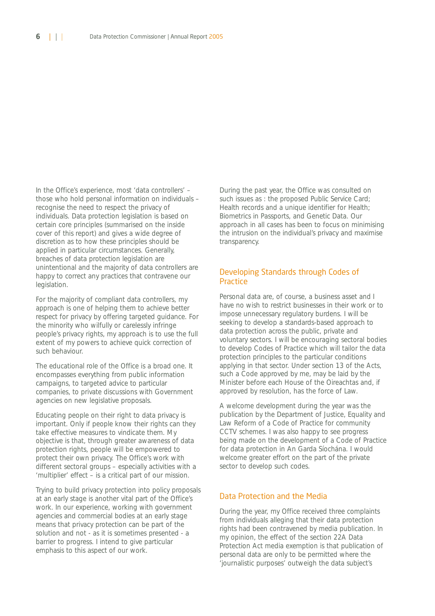In the Office's experience, most 'data controllers' – those who hold personal information on individuals – recognise the need to respect the privacy of individuals. Data protection legislation is based on certain core principles (summarised on the inside cover of this report) and gives a wide degree of discretion as to how these principles should be applied in particular circumstances. Generally, breaches of data protection legislation are unintentional and the majority of data controllers are happy to correct any practices that contravene our legislation.

For the majority of compliant data controllers, my approach is one of helping them to achieve better respect for privacy by offering targeted guidance. For the minority who wilfully or carelessly infringe people's privacy rights, my approach is to use the full extent of my powers to achieve quick correction of such behaviour.

The educational role of the Office is a broad one. It encompasses everything from public information campaigns, to targeted advice to particular companies, to private discussions with Government agencies on new legislative proposals.

Educating people on their right to data privacy is important. Only if people know their rights can they take effective measures to vindicate them. My objective is that, through greater awareness of data protection rights, people will be empowered to protect their own privacy. The Office's work with different sectoral groups – especially activities with a 'multiplier' effect – is a critical part of our mission.

Trying to build privacy protection into policy proposals at an early stage is another vital part of the Office's work. In our experience, working with government agencies and commercial bodies at an early stage means that privacy protection can be part of the solution and not - as it is sometimes presented - a barrier to progress. I intend to give particular emphasis to this aspect of our work.

During the past year, the Office was consulted on such issues as : the proposed Public Service Card; Health records and a unique identifier for Health; Biometrics in Passports, and Genetic Data. Our approach in all cases has been to focus on minimising the intrusion on the individual's privacy and maximise transparency.

### Developing Standards through Codes of Practice

Personal data are, of course, a business asset and I have no wish to restrict businesses in their work or to impose unnecessary regulatory burdens. I will be seeking to develop a standards-based approach to data protection across the public, private and voluntary sectors. I will be encouraging sectoral bodies to develop Codes of Practice which will tailor the data protection principles to the particular conditions applying in that sector. Under section 13 of the Acts, such a Code approved by me, may be laid by the Minister before each House of the Oireachtas and, if approved by resolution, has the force of Law.

A welcome development during the year was the publication by the Department of Justice, Equality and Law Reform of a Code of Practice for community CCTV schemes. I was also happy to see progress being made on the development of a Code of Practice for data protection in An Garda Síochána. I would welcome greater effort on the part of the private sector to develop such codes.

### Data Protection and the Media

During the year, my Office received three complaints from individuals alleging that their data protection rights had been contravened by media publication. In my opinion, the effect of the section 22A Data Protection Act media exemption is that publication of personal data are only to be permitted where the 'journalistic purposes' outweigh the data subject's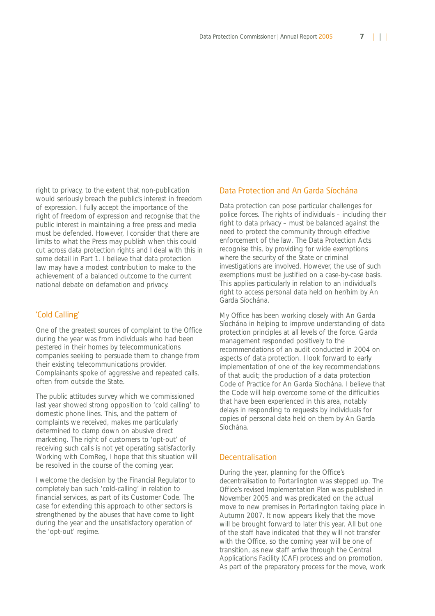right to privacy, to the extent that non-publication would seriously breach the public's interest in freedom of expression. I fully accept the importance of the right of freedom of expression and recognise that the public interest in maintaining a free press and media must be defended. However, I consider that there are limits to what the Press may publish when this could cut across data protection rights and I deal with this in some detail in Part 1. I believe that data protection law may have a modest contribution to make to the achievement of a balanced outcome to the current national debate on defamation and privacy.

### 'Cold Calling'

One of the greatest sources of complaint to the Office during the year was from individuals who had been pestered in their homes by telecommunications companies seeking to persuade them to change from their existing telecommunications provider. Complainants spoke of aggressive and repeated calls, often from outside the State.

The public attitudes survey which we commissioned last year showed strong opposition to 'cold calling' to domestic phone lines. This, and the pattern of complaints we received, makes me particularly determined to clamp down on abusive direct marketing. The right of customers to 'opt-out' of receiving such calls is not yet operating satisfactorily. Working with ComReg, I hope that this situation will be resolved in the course of the coming year.

I welcome the decision by the Financial Regulator to completely ban such 'cold-calling' in relation to financial services, as part of its Customer Code. The case for extending this approach to other sectors is strengthened by the abuses that have come to light during the year and the unsatisfactory operation of the 'opt-out' regime.

### Data Protection and An Garda Síochána

Data protection can pose particular challenges for police forces. The rights of individuals – including their right to data privacy – must be balanced against the need to protect the community through effective enforcement of the law. The Data Protection Acts recognise this, by providing for wide exemptions where the security of the State or criminal investigations are involved. However, the use of such exemptions must be justified on a case-by-case basis. This applies particularly in relation to an individual's right to access personal data held on her/him by An Garda Síochána.

My Office has been working closely with An Garda Síochána in helping to improve understanding of data protection principles at all levels of the force. Garda management responded positively to the recommendations of an audit conducted in 2004 on aspects of data protection. I look forward to early implementation of one of the key recommendations of that audit; the production of a data protection Code of Practice for An Garda Síochána. I believe that the Code will help overcome some of the difficulties that have been experienced in this area, notably delays in responding to requests by individuals for copies of personal data held on them by An Garda Síochána.

### **Decentralisation**

During the year, planning for the Office's decentralisation to Portarlington was stepped up. The Office's revised Implementation Plan was published in November 2005 and was predicated on the actual move to new premises in Portarlington taking place in Autumn 2007. It now appears likely that the move will be brought forward to later this year. All but one of the staff have indicated that they will not transfer with the Office, so the coming year will be one of transition, as new staff arrive through the Central Applications Facility (CAF) process and on promotion. As part of the preparatory process for the move, work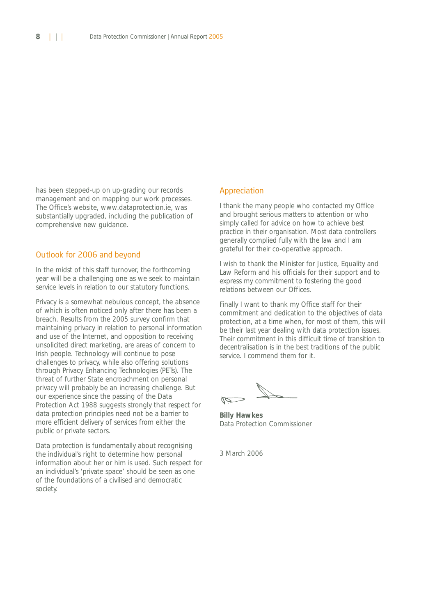has been stepped-up on up-grading our records management and on mapping our work processes. The Office's website, www.dataprotection.ie, was substantially upgraded, including the publication of comprehensive new guidance.

### Outlook for 2006 and beyond

In the midst of this staff turnover, the forthcoming year will be a challenging one as we seek to maintain service levels in relation to our statutory functions.

Privacy is a somewhat nebulous concept, the absence of which is often noticed only after there has been a breach. Results from the 2005 survey confirm that maintaining privacy in relation to personal information and use of the Internet, and opposition to receiving unsolicited direct marketing, are areas of concern to Irish people. Technology will continue to pose challenges to privacy, while also offering solutions through Privacy Enhancing Technologies (PETs). The threat of further State encroachment on personal privacy will probably be an increasing challenge. But our experience since the passing of the Data Protection Act 1988 suggests strongly that respect for data protection principles need not be a barrier to more efficient delivery of services from either the public or private sectors.

Data protection is fundamentally about recognising the individual's right to determine how personal information about her or him is used. Such respect for an individual's 'private space' should be seen as one of the foundations of a civilised and democratic society.

### Appreciation

I thank the many people who contacted my Office and brought serious matters to attention or who simply called for advice on how to achieve best practice in their organisation. Most data controllers generally complied fully with the law and I am grateful for their co-operative approach.

I wish to thank the Minister for Justice, Equality and Law Reform and his officials for their support and to express my commitment to fostering the good relations between our Offices.

Finally I want to thank my Office staff for their commitment and dedication to the objectives of data protection, at a time when, for most of them, this will be their last year dealing with data protection issues. Their commitment in this difficult time of transition to decentralisation is in the best traditions of the public service. I commend them for it.

**Billy Hawkes** *Data Protection Commissioner*

3 March 2006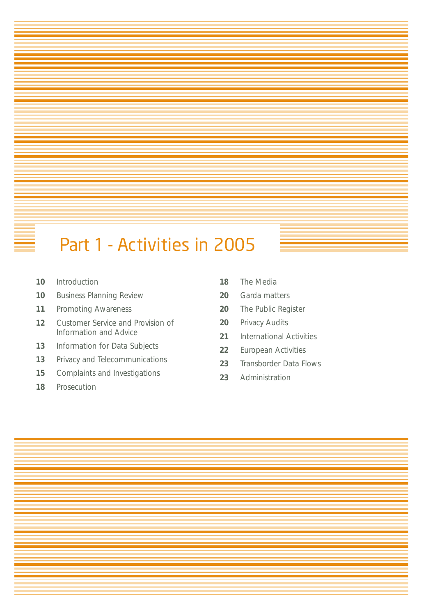# Part 1 - Activities in 2005

- Introduction
- Business Planning Review
- Promoting Awareness
- Customer Service and Provision of Information and Advice
- Information for Data Subjects
- 13 Privacy and Telecommunications
- Complaints and Investigations
- Prosecution
- The Media
- Garda matters
- The Public Register
- Privacy Audits
- International Activities
- European Activities
- Transborder Data Flows
- Administration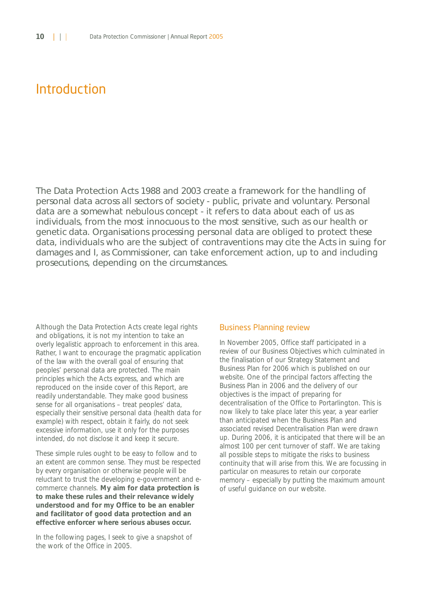### **Introduction**

The Data Protection Acts 1988 and 2003 create a framework for the handling of personal data across all sectors of society - public, private and voluntary. Personal data are a somewhat nebulous concept - it refers to data about each of us as individuals, from the most innocuous to the most sensitive, such as our health or genetic data. Organisations processing personal data are obliged to protect these data, individuals who are the subject of contraventions may cite the Acts in suing for damages and I, as Commissioner, can take enforcement action, up to and including prosecutions, depending on the circumstances.

Although the Data Protection Acts create legal rights and obligations, it is not my intention to take an overly legalistic approach to enforcement in this area. Rather, I want to encourage the pragmatic application of the law with the overall goal of ensuring that peoples' personal data are protected. The main principles which the Acts express, and which are reproduced on the inside cover of this Report, are readily understandable. They make good business sense for all organisations – treat peoples' data, especially their sensitive personal data (health data for example) with respect, obtain it fairly, do not seek excessive information, use it only for the purposes intended, do not disclose it and keep it secure.

These simple rules ought to be easy to follow and to an extent are common sense. They must be respected by every organisation or otherwise people will be reluctant to trust the developing e-government and ecommerce channels. **My aim for data protection is to make these rules and their relevance widely understood and for my Office to be an enabler and facilitator of good data protection and an effective enforcer where serious abuses occur.** 

In the following pages, I seek to give a snapshot of the work of the Office in 2005.

### Business Planning review

In November 2005, Office staff participated in a review of our Business Objectives which culminated in the finalisation of our Strategy Statement and Business Plan for 2006 which is published on our website. One of the principal factors affecting the Business Plan in 2006 and the delivery of our objectives is the impact of preparing for decentralisation of the Office to Portarlington. This is now likely to take place later this year, a year earlier than anticipated when the Business Plan and associated revised Decentralisation Plan were drawn up. During 2006, it is anticipated that there will be an almost 100 per cent turnover of staff. We are taking all possible steps to mitigate the risks to business continuity that will arise from this. We are focussing in particular on measures to retain our corporate memory – especially by putting the maximum amount of useful guidance on our website.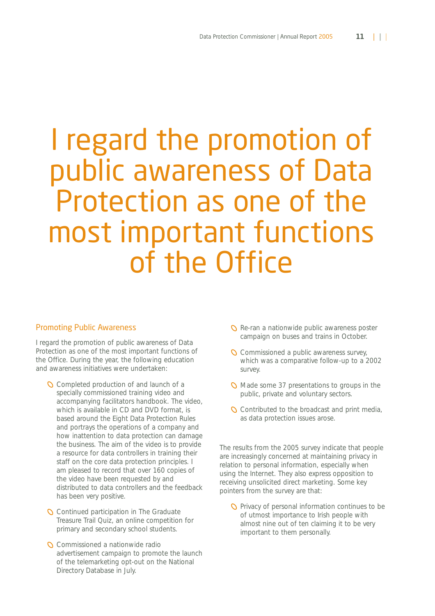# I regard the promotion of public awareness of Data Protection as one of the most important functions of the Office

### Promoting Public Awareness

I regard the promotion of public awareness of Data Protection as one of the most important functions of the Office. During the year, the following education and awareness initiatives were undertaken:

- **Q** Completed production of and launch of a specially commissioned training video and accompanying facilitators handbook. The video, which is available in CD and DVD format, is based around the Eight Data Protection Rules and portrays the operations of a company and how inattention to data protection can damage the business. The aim of the video is to provide a resource for data controllers in training their staff on the core data protection principles. I am pleased to record that over 160 copies of the video have been requested by and distributed to data controllers and the feedback has been very positive.
- **Q** Continued participation in The Graduate Treasure Trail Quiz, an online competition for primary and secondary school students.
- **Q** Commissioned a nationwide radio advertisement campaign to promote the launch of the telemarketing opt-out on the National Directory Database in July.
- $\Omega$  Re-ran a nationwide public awareness poster campaign on buses and trains in October.
- **Q** Commissioned a public awareness survey, which was a comparative follow-up to a 2002 survey.
- $\Omega$  Made some 37 presentations to groups in the public, private and voluntary sectors.
- $\circ$  Contributed to the broadcast and print media, as data protection issues arose.

The results from the 2005 survey indicate that people are increasingly concerned at maintaining privacy in relation to personal information, especially when using the Internet. They also express opposition to receiving unsolicited direct marketing. Some key pointers from the survey are that:

 $\Omega$  Privacy of personal information continues to be of utmost importance to Irish people with almost nine out of ten claiming it to be very important to them personally.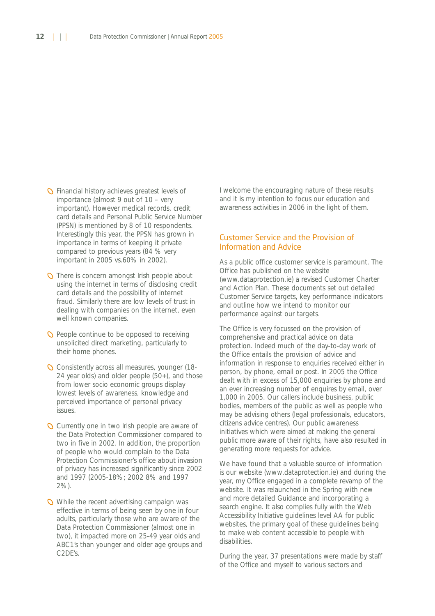- **Q** Financial history achieves greatest levels of importance (almost 9 out of 10 – very important). However medical records, credit card details and Personal Public Service Number (PPSN) is mentioned by 8 of 10 respondents. Interestingly this year, the PPSN has grown in importance in terms of keeping it private compared to previous years (84 % very important in 2005 vs.60% in 2002).
- **O** There is concern amongst Irish people about using the internet in terms of disclosing credit card details and the possibility of internet fraud. Similarly there are low levels of trust in dealing with companies on the internet, even well known companies.
- $\Omega$  People continue to be opposed to receiving unsolicited direct marketing, particularly to their home phones.
- Consistently across all measures, younger (18- 24 year olds) and older people (50+), and those from lower socio economic groups display lowest levels of awareness, knowledge and perceived importance of personal privacy issues.
- **Q** Currently one in two Irish people are aware of the Data Protection Commissioner compared to two in five in 2002. In addition, the proportion of people who would complain to the Data Protection Commissioner's office about invasion of privacy has increased significantly since 2002 and 1997 (2005-18%; 2002 8% and 1997 2%).
- **O** While the recent advertising campaign was effective in terms of being seen by one in four adults, particularly those who are aware of the Data Protection Commissioner (almost one in two), it impacted more on 25-49 year olds and ABC1's than younger and older age groups and C2DE's.

I welcome the encouraging nature of these results and it is my intention to focus our education and awareness activities in 2006 in the light of them.

### Customer Service and the Provision of Information and Advice

As a public office customer service is paramount. The Office has published on the website (www.dataprotection.ie) a revised Customer Charter and Action Plan. These documents set out detailed Customer Service targets, key performance indicators and outline how we intend to monitor our performance against our targets.

The Office is very focussed on the provision of comprehensive and practical advice on data protection. Indeed much of the day-to-day work of the Office entails the provision of advice and information in response to enquiries received either in person, by phone, email or post. In 2005 the Office dealt with in excess of 15,000 enquiries by phone and an ever increasing number of enquires by email, over 1,000 in 2005. Our callers include business, public bodies, members of the public as well as people who may be advising others (legal professionals, educators, citizens advice centres). Our public awareness initiatives which were aimed at making the general public more aware of their rights, have also resulted in generating more requests for advice.

We have found that a valuable source of information is our website (www.dataprotection.ie) and during the year, my Office engaged in a complete revamp of the website. It was relaunched in the Spring with new and more detailed Guidance and incorporating a search engine. It also complies fully with the Web Accessibility Initiative guidelines level AA for public websites, the primary goal of these guidelines being to make web content accessible to people with disabilities.

During the year, 37 presentations were made by staff of the Office and myself to various sectors and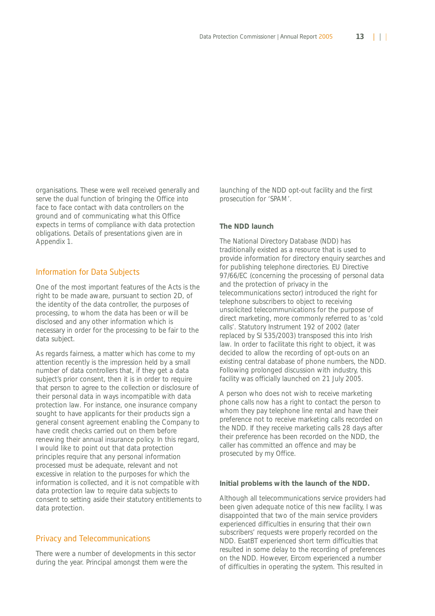organisations. These were well received generally and serve the dual function of bringing the Office into face to face contact with data controllers on the ground and of communicating what this Office expects in terms of compliance with data protection obligations. Details of presentations given are in Appendix 1.

### Information for Data Subjects

One of the most important features of the Acts is the right to be made aware, pursuant to section 2D, of the identity of the data controller, the purposes of processing, to whom the data has been or will be disclosed and any other information which is necessary in order for the processing to be fair to the data subject.

As regards fairness, a matter which has come to my attention recently is the impression held by a small number of data controllers that, if they get a data subject's prior consent, then it is in order to require that person to agree to the collection or disclosure of their personal data in ways incompatible with data protection law. For instance, one insurance company sought to have applicants for their products sign a general consent agreement enabling the Company to have credit checks carried out on them before renewing their annual insurance policy. In this regard, I would like to point out that data protection principles require that any personal information processed must be adequate, relevant and not excessive in relation to the purposes for which the information is collected, and it is not compatible with data protection law to require data subjects to consent to setting aside their statutory entitlements to data protection.

### Privacy and Telecommunications

There were a number of developments in this sector during the year. Principal amongst them were the

launching of the NDD opt-out facility and the first prosecution for 'SPAM'.

#### *The NDD launch*

The National Directory Database (NDD) has traditionally existed as a resource that is used to provide information for directory enquiry searches and for publishing telephone directories. EU Directive 97/66/EC (concerning the processing of personal data and the protection of privacy in the telecommunications sector) introduced the right for telephone subscribers to object to receiving unsolicited telecommunications for the purpose of direct marketing, more commonly referred to as 'cold calls'. Statutory Instrument 192 of 2002 (later replaced by SI 535/2003) transposed this into Irish law. In order to facilitate this right to object, it was decided to allow the recording of opt-outs on an existing central database of phone numbers, the NDD. Following prolonged discussion with industry, this facility was officially launched on 21 July 2005.

A person who does not wish to receive marketing phone calls now has a right to contact the person to whom they pay telephone line rental and have their preference not to receive marketing calls recorded on the NDD. If they receive marketing calls 28 days after their preference has been recorded on the NDD, the caller has committed an offence and may be prosecuted by my Office.

#### *Initial problems with the launch of the NDD.*

Although all telecommunications service providers had been given adequate notice of this new facility, I was disappointed that two of the main service providers experienced difficulties in ensuring that their own subscribers' requests were properly recorded on the NDD. EsatBT experienced short term difficulties that resulted in some delay to the recording of preferences on the NDD. However, Eircom experienced a number of difficulties in operating the system. This resulted in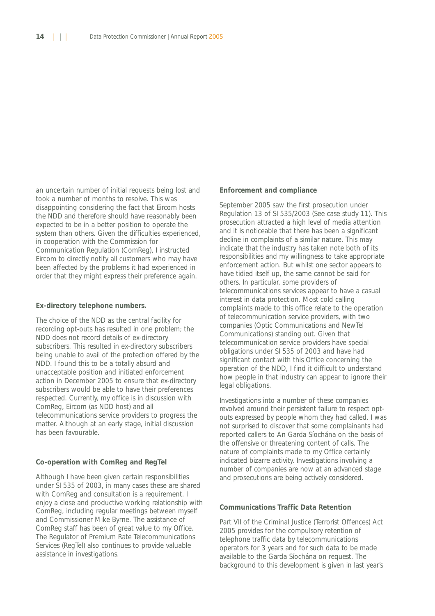an uncertain number of initial requests being lost and took a number of months to resolve. This was disappointing considering the fact that Eircom hosts the NDD and therefore should have reasonably been expected to be in a better position to operate the system than others. Given the difficulties experienced, in cooperation with the Commission for Communication Regulation (ComReg), I instructed Eircom to directly notify all customers who may have been affected by the problems it had experienced in order that they might express their preference again.

#### *Ex-directory telephone numbers.*

The choice of the NDD as the central facility for recording opt-outs has resulted in one problem; the NDD does not record details of ex-directory subscribers. This resulted in ex-directory subscribers being unable to avail of the protection offered by the NDD. I found this to be a totally absurd and unacceptable position and initiated enforcement action in December 2005 to ensure that ex-directory subscribers would be able to have their preferences respected. Currently, my office is in discussion with ComReg, Eircom (as NDD host) and all telecommunications service providers to progress the matter. Although at an early stage, initial discussion has been favourable.

#### *Co-operation with ComReg and RegTel*

Although I have been given certain responsibilities under SI 535 of 2003, in many cases these are shared with ComReg and consultation is a requirement. I enjoy a close and productive working relationship with ComReg, including regular meetings between myself and Commissioner Mike Byrne. The assistance of ComReg staff has been of great value to my Office. The Regulator of Premium Rate Telecommunications Services (RegTel) also continues to provide valuable assistance in investigations.

#### *Enforcement and compliance*

September 2005 saw the first prosecution under Regulation 13 of SI 535/2003 (See case study 11). This prosecution attracted a high level of media attention and it is noticeable that there has been a significant decline in complaints of a similar nature. This may indicate that the industry has taken note both of its responsibilities and my willingness to take appropriate enforcement action. But whilst one sector appears to have tidied itself up, the same cannot be said for others. In particular, some providers of telecommunications services appear to have a casual interest in data protection. Most cold calling complaints made to this office relate to the operation of telecommunication service providers, with two companies (Optic Communications and NewTel Communications) standing out. Given that telecommunication service providers have special obligations under SI 535 of 2003 and have had significant contact with this Office concerning the operation of the NDD, I find it difficult to understand how people in that industry can appear to ignore their legal obligations.

Investigations into a number of these companies revolved around their persistent failure to respect optouts expressed by people whom they had called. I was not surprised to discover that some complainants had reported callers to An Garda Síochána on the basis of the offensive or threatening content of calls. The nature of complaints made to my Office certainly indicated bizarre activity. Investigations involving a number of companies are now at an advanced stage and prosecutions are being actively considered.

#### *Communications Traffic Data Retention*

Part VII of the Criminal Justice (Terrorist Offences) Act 2005 provides for the compulsory retention of telephone traffic data by telecommunications operators for 3 years and for such data to be made available to the Garda Síochána on request. The background to this development is given in last year's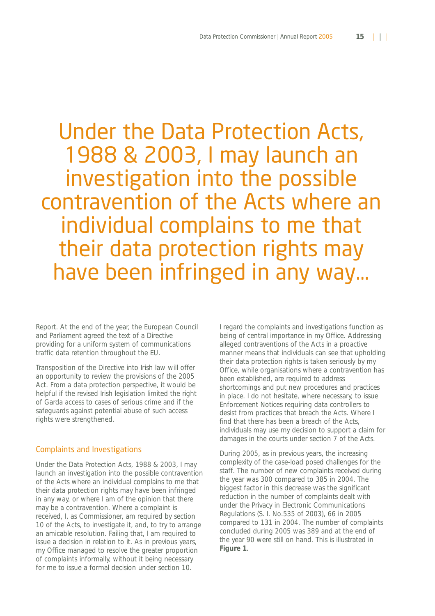Under the Data Protection Acts, 1988 & 2003, I may launch an investigation into the possible contravention of the Acts where an individual complains to me that their data protection rights may have been infringed in any way…

Report. At the end of the year, the European Council and Parliament agreed the text of a Directive providing for a uniform system of communications traffic data retention throughout the EU.

Transposition of the Directive into Irish law will offer an opportunity to review the provisions of the 2005 Act. From a data protection perspective, it would be helpful if the revised Irish legislation limited the right of Garda access to cases of serious crime and if the safeguards against potential abuse of such access rights were strengthened.

### Complaints and Investigations

Under the Data Protection Acts, 1988 & 2003, I may launch an investigation into the possible contravention of the Acts where an individual complains to me that their data protection rights may have been infringed in any way, or where I am of the opinion that there may be a contravention. Where a complaint is received, I, as Commissioner, am required by section 10 of the Acts, to investigate it, and, to try to arrange an amicable resolution. Failing that, I am required to issue a decision in relation to it. As in previous years, my Office managed to resolve the greater proportion of complaints informally, without it being necessary for me to issue a formal decision under section 10.

I regard the complaints and investigations function as being of central importance in my Office. Addressing alleged contraventions of the Acts in a proactive manner means that individuals can see that upholding their data protection rights is taken seriously by my Office, while organisations where a contravention has been established, are required to address shortcomings and put new procedures and practices in place. I do not hesitate, where necessary, to issue Enforcement Notices requiring data controllers to desist from practices that breach the Acts. Where I find that there has been a breach of the Acts, individuals may use my decision to support a claim for damages in the courts under section 7 of the Acts.

During 2005, as in previous years, the increasing complexity of the case-load posed challenges for the staff. The number of new complaints received during the year was 300 compared to 385 in 2004. The biggest factor in this decrease was the significant reduction in the number of complaints dealt with under the Privacy in Electronic Communications Regulations (S. I. No.535 of 2003), 66 in 2005 compared to 131 in 2004. The number of complaints concluded during 2005 was 389 and at the end of the year 90 were still on hand. This is illustrated in **Figure 1**.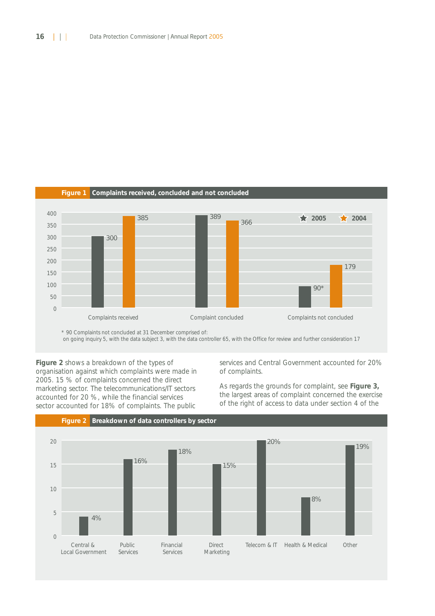

**Figure 2** shows a breakdown of the types of organisation against which complaints were made in 2005. 15 % of complaints concerned the direct marketing sector. The telecommunications/IT sectors accounted for 20 %, while the financial services sector accounted for 18% of complaints. The public

services and Central Government accounted for 20% of complaints.

As regards the grounds for complaint, see **Figure 3,** the largest areas of complaint concerned the exercise of the right of access to data under section 4 of the

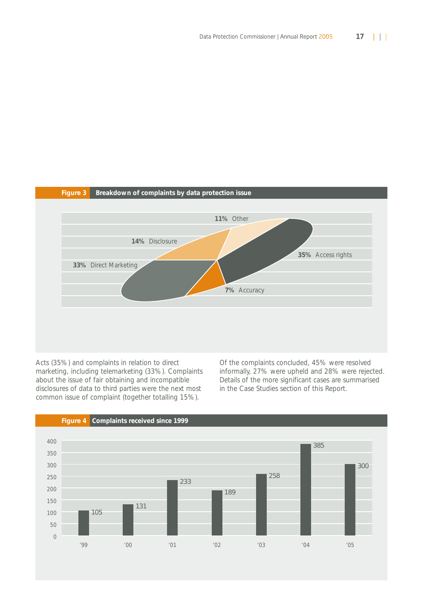

Acts (35%) and complaints in relation to direct marketing, including telemarketing (33%). Complaints about the issue of fair obtaining and incompatible disclosures of data to third parties were the next most common issue of complaint (together totalling 15%).

Of the complaints concluded, 45% were resolved informally, 27% were upheld and 28% were rejected. Details of the more significant cases are summarised in the Case Studies section of this Report.



### **Figure 4 Complaints received since 1999**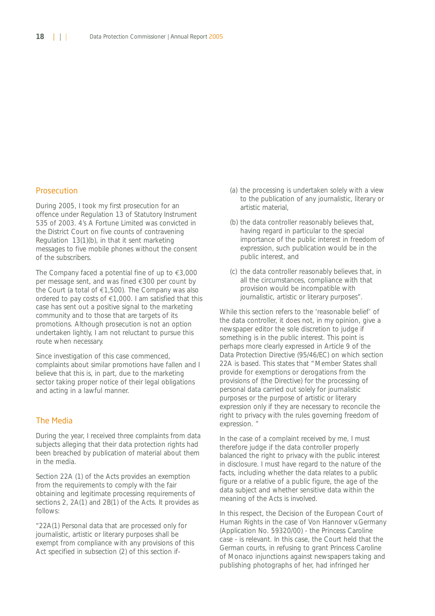### Prosecution

During 2005, I took my first prosecution for an offence under Regulation 13 of Statutory Instrument 535 of 2003. 4's A Fortune Limited was convicted in the District Court on five counts of contravening Regulation 13(1)(b), in that it sent marketing messages to five mobile phones without the consent of the subscribers.

The Company faced a potential fine of up to  $\epsilon$ 3,000 per message sent, and was fined €300 per count by the Court (a total of €1,500). The Company was also ordered to pay costs of €1,000. I am satisfied that this case has sent out a positive signal to the marketing community and to those that are targets of its promotions. Although prosecution is not an option undertaken lightly, I am not reluctant to pursue this route when necessary.

Since investigation of this case commenced, complaints about similar promotions have fallen and I believe that this is, in part, due to the marketing sector taking proper notice of their legal obligations and acting in a lawful manner.

### The Media

During the year, I received three complaints from data subjects alleging that their data protection rights had been breached by publication of material about them in the media.

Section 22A (1) of the Acts provides an exemption from the requirements to comply with the fair obtaining and legitimate processing requirements of sections 2, 2A(1) and 2B(1) of the Acts. It provides as follows:

*"22A(1) Personal data that are processed only for journalistic, artistic or literary purposes shall be exempt from compliance with any provisions of this Act specified in subsection (2) of this section if-*

- *(a) the processing is undertaken solely with a view to the publication of any journalistic, literary or artistic material,*
- *(b) the data controller reasonably believes that, having regard in particular to the special importance of the public interest in freedom of expression, such publication would be in the public interest, and*
- *(c) the data controller reasonably believes that, in all the circumstances, compliance with that provision would be incompatible with journalistic, artistic or literary purposes".*

While this section refers to the 'reasonable belief' of the data controller, it does not, in my opinion, give a newspaper editor the sole discretion to judge if something is in the public interest. This point is perhaps more clearly expressed in Article 9 of the Data Protection Directive (95/46/EC) on which section 22A is based. This states that "*Member States shall provide for exemptions or derogations from the provisions of (the Directive) for the processing of personal data carried out solely for journalistic purposes or the purpose of artistic or literary expression only if they are necessary to reconcile the right to privacy with the rules governing freedom of expression. "* 

In the case of a complaint received by me, I must therefore judge if the data controller properly balanced the right to privacy with the public interest in disclosure. I must have regard to the nature of the facts, including whether the data relates to a public figure or a relative of a public figure, the age of the data subject and whether sensitive data within the meaning of the Acts is involved.

In this respect, the Decision of the European Court of Human Rights in the case of Von Hannover v.Germany (Application No. 59320/00) - the Princess Caroline case - is relevant. In this case, the Court held that the German courts, in refusing to grant Princess Caroline of Monaco injunctions against newspapers taking and publishing photographs of her, had infringed her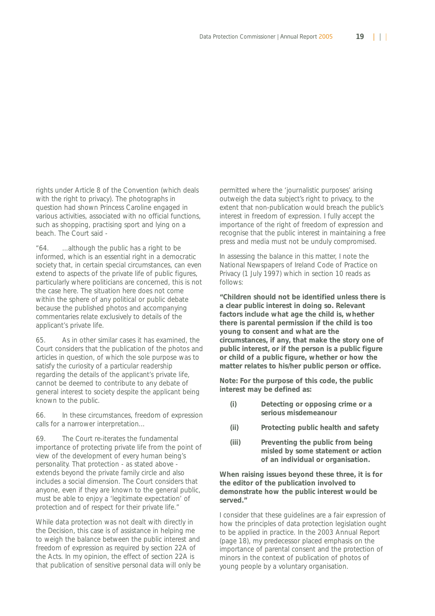rights under Article 8 of the Convention (which deals with the right to privacy). The photographs in question had shown Princess Caroline engaged in various activities, associated with no official functions, such as shopping, practising sport and lying on a beach. The Court said -

*"64. ...although the public has a right to be informed, which is an essential right in a democratic society that, in certain special circumstances, can even extend to aspects of the private life of public figures, particularly where politicians are concerned, this is not the case here. The situation here does not come within the sphere of any political or public debate because the published photos and accompanying commentaries relate exclusively to details of the applicant's private life.*

*65. As in other similar cases it has examined, the Court considers that the publication of the photos and articles in question, of which the sole purpose was to satisfy the curiosity of a particular readership regarding the details of the applicant's private life, cannot be deemed to contribute to any debate of general interest to society despite the applicant being known to the public.*

*66. In these circumstances, freedom of expression calls for a narrower interpretation...*

*69. The Court re-iterates the fundamental importance of protecting private life from the point of view of the development of every human being's personality. That protection - as stated above extends beyond the private family circle and also includes a social dimension. The Court considers that anyone, even if they are known to the general public, must be able to enjoy a 'legitimate expectation' of protection and of respect for their private life."*

While data protection was not dealt with directly in the Decision, this case is of assistance in helping me to weigh the balance between the public interest and freedom of expression as required by section 22A of the Acts. In my opinion, the effect of section 22A is that publication of sensitive personal data will only be

permitted where the 'journalistic purposes' arising outweigh the data subject's right to privacy, to the extent that non-publication would breach the public's interest in freedom of expression. I fully accept the importance of the right of freedom of expression and recognise that the public interest in maintaining a free press and media must not be unduly compromised.

In assessing the balance in this matter, I note the National Newspapers of Ireland Code of Practice on Privacy (1 July 1997) which in section 10 reads as follows:

*"Children should not be identified unless there is a clear public interest in doing so. Relevant factors include what age the child is, whether there is parental permission if the child is too young to consent and what are the circumstances, if any, that make the story one of public interest, or if the person is a public figure or child of a public figure, whether or how the matter relates to his/her public person or office.*

*Note: For the purpose of this code, the public interest may be defined as:*

- *(i) Detecting or opposing crime or a serious misdemeanour*
- *(ii) Protecting public health and safety*
- *(iii) Preventing the public from being misled by some statement or action of an individual or organisation.*

### *When raising issues beyond these three, it is for the editor of the publication involved to demonstrate how the public interest would be served."*

I consider that these guidelines are a fair expression of how the principles of data protection legislation ought to be applied in practice. In the 2003 Annual Report (page 18), my predecessor placed emphasis on the importance of parental consent and the protection of minors in the context of publication of photos of young people by a voluntary organisation.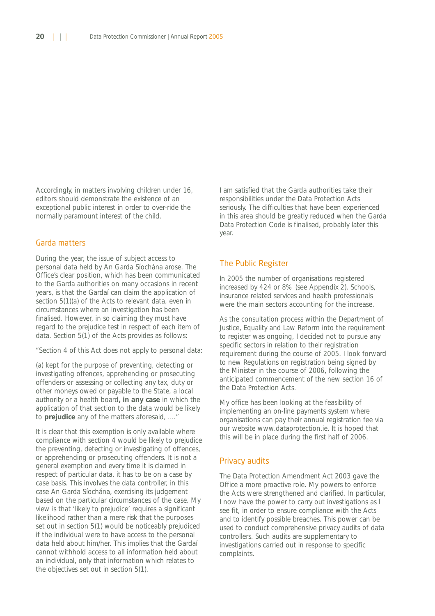Accordingly, in matters involving children under 16, editors should demonstrate the existence of an exceptional public interest in order to over-ride the normally paramount interest of the child.

### Garda matters

During the year, the issue of subject access to personal data held by An Garda Síochána arose. The Office's clear position, which has been communicated to the Garda authorities on many occasions in recent years, is that the Gardaí can claim the application of section 5(1)(a) of the Acts to relevant data, even in circumstances where an investigation has been finalised. However, in so claiming they must have regard to the prejudice test in respect of each item of data. Section 5(1) of the Acts provides as follows:

#### *"Section 4 of this Act does not apply to personal data:*

*(a) kept for the purpose of preventing, detecting or investigating offences, apprehending or prosecuting offenders or assessing or collecting any tax, duty or other moneys owed or payable to the State, a local authority or a health board, in any case in which the application of that section to the data would be likely to prejudice any of the matters aforesaid, ...."*

It is clear that this exemption is only available where compliance with section 4 would be likely to prejudice the preventing, detecting or investigating of offences, or apprehending or prosecuting offenders. It is not a general exemption and every time it is claimed in respect of particular data, it has to be on a case by case basis. This involves the data controller, in this case An Garda Síochána, exercising its judgement based on the particular circumstances of the case. My view is that 'likely to prejudice' requires a significant likelihood rather than a mere risk that the purposes set out in section 5(1) would be noticeably prejudiced if the individual were to have access to the personal data held about him/her. This implies that the Gardaí cannot withhold access to all information held about an individual, only that information which relates to the objectives set out in section 5(1).

I am satisfied that the Garda authorities take their responsibilities under the Data Protection Acts seriously. The difficulties that have been experienced in this area should be greatly reduced when the Garda Data Protection Code is finalised, probably later this year.

### The Public Register

In 2005 the number of organisations registered increased by 424 or 8% (see Appendix 2). Schools, insurance related services and health professionals were the main sectors accounting for the increase.

As the consultation process within the Department of Justice, Equality and Law Reform into the requirement to register was ongoing, I decided not to pursue any specific sectors in relation to their registration requirement during the course of 2005. I look forward to new Regulations on registration being signed by the Minister in the course of 2006, following the anticipated commencement of the new section 16 of the Data Protection Acts.

My office has been looking at the feasibility of implementing an on-line payments system where organisations can pay their annual registration fee via our website www.dataprotection.ie. It is hoped that this will be in place during the first half of 2006.

### Privacy audits

The Data Protection Amendment Act 2003 gave the Office a more proactive role. My powers to enforce the Acts were strengthened and clarified. In particular, I now have the power to carry out investigations as I see fit, in order to ensure compliance with the Acts and to identify possible breaches. This power can be used to conduct comprehensive privacy audits of data controllers. Such audits are supplementary to investigations carried out in response to specific complaints.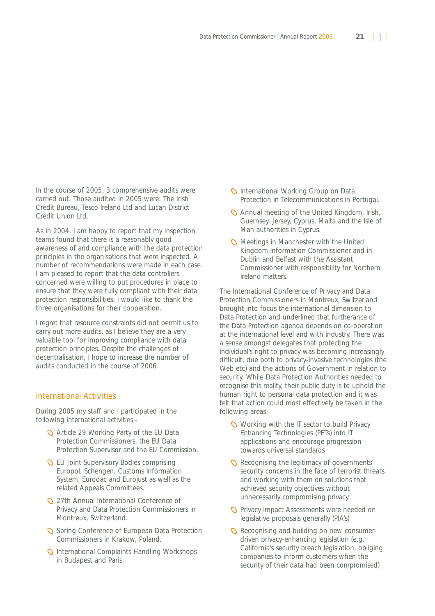In the course of 2005, 3 comprehensive audits were carried out. Those audited in 2005 were: The Irish Credit Bureau, Tesco Ireland Ltd and Lucan District Credit Union Ltd.

As in 2004, I am happy to report that my inspection teams found that there is a reasonably good awareness of and compliance with the data protection principles in the organisations that were inspected. A number of recommendations were made in each case. I am pleased to report that the data controllers concerned were willing to put procedures in place to ensure that they were fully compliant with their data protection responsibilities. I would like to thank the three organisations for their cooperation.

I regret that resource constraints did not permit us to carry out more audits, as I believe they are a very valuable tool for improving compliance with data protection principles. Despite the challenges of decentralisation, I hope to increase the number of audits conducted in the course of 2006.

### International Activities

During 2005 my staff and I participated in the following international activities -

- *Article 29 Working Party of the EU Data Protection Commissioners, the EU Data Protection Supervisor and the EU Commission.*
- *EU Joint Supervisory Bodies comprising Europol, Schengen, Customs Information System, Eurodac and Eurojust as well as the related Appeals Committees.*
- *27th Annual International Conference of Privacy and Data Protection Commissioners in Montreux, Switzerland.*
- *Spring Conference of European Data Protection Commissioners in Krakow, Poland.*
- *International Complaints Handling Workshops in Budapest and Paris.*
- *International Working Group on Data Protection in Telecommunications in Portugal.*
- *Annual meeting of the United Kingdom, Irish, Guernsey, Jersey, Cyprus, Malta and the Isle of Man authorities in Cyprus.*
- *Meetings in Manchester with the United Kingdom Information Commissioner and in Dublin and Belfast with the Assistant Commissioner with responsibility for Northern Ireland matters.*

The International Conference of Privacy and Data Protection Commissioners in Montreux, Switzerland brought into focus the international dimension to Data Protection and underlined that furtherance of the Data Protection agenda depends on co-operation at the international level and with industry. There was a sense amongst delegates that protecting the individual's right to privacy was becoming increasingly difficult, due both to privacy-invasive technologies (the Web etc) and the actions of Government in relation to security. While Data Protection Authorities needed to recognise this reality, their public duty is to uphold the human right to personal data protection and it was felt that action could most effectively be taken in the following areas:

- **Q** Working with the IT sector to build Privacy Enhancing Technologies (PETs) into IT applications and encourage progression towards universal standards
- $\Omega$  Recognising the legitimacy of governments' security concerns in the face of terrorist threats and working with them on solutions that achieved security objectives without unnecessarily compromising privacy.
- **Q** Privacy Impact Assessments were needed on legislative proposals generally (PIA's)
- **Q** Recognising and building on new consumerdriven privacy-enhancing legislation (e.g. California's security breach legislation, obliging companies to inform customers when the security of their data had been compromised)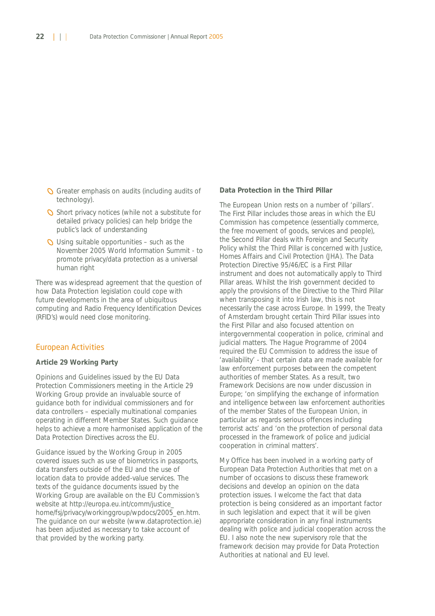- Greater emphasis on audits (including audits of technology).
- $\bigcirc$  Short privacy notices (while not a substitute for detailed privacy policies) can help bridge the public's lack of understanding
- $\bigcirc$  Using suitable opportunities such as the November 2005 World Information Summit - to promote privacy/data protection as a universal human right

There was widespread agreement that the question of how Data Protection legislation could cope with future developments in the area of ubiquitous computing and Radio Frequency Identification Devices (RFID's) would need close monitoring.

### European Activities

#### *Article 29 Working Party*

Opinions and Guidelines issued by the EU Data Protection Commissioners meeting in the Article 29 Working Group provide an invaluable source of guidance both for individual commissioners and for data controllers – especially multinational companies operating in different Member States. Such guidance helps to achieve a more harmonised application of the Data Protection Directives across the EU.

Guidance issued by the Working Group in 2005 covered issues such as use of biometrics in passports, data transfers outside of the EU and the use of location data to provide added-value services. The texts of the guidance documents issued by the Working Group are available on the EU Commission's website at http://europa.eu.int/comm/justice\_ home/fsj/privacy/workinggroup/wpdocs/2005\_en.htm. The guidance on our website (www.dataprotection.ie) has been adjusted as necessary to take account of that provided by the working party.

#### *Data Protection in the Third Pillar*

The European Union rests on a number of 'pillars'. The First Pillar includes those areas in which the EU Commission has competence (essentially commerce, the free movement of goods, services and people), the Second Pillar deals with Foreign and Security Policy whilst the Third Pillar is concerned with Justice, Homes Affairs and Civil Protection (JHA). The Data Protection Directive 95/46/EC is a First Pillar instrument and does not automatically apply to Third Pillar areas. Whilst the Irish government decided to apply the provisions of the Directive to the Third Pillar when transposing it into Irish law, this is not necessarily the case across Europe. In 1999, the Treaty of Amsterdam brought certain Third Pillar issues into the First Pillar and also focused attention on intergovernmental cooperation in police, criminal and judicial matters. The Hague Programme of 2004 required the EU Commission to address the issue of 'availability' - that certain data are made available for law enforcement purposes between the competent authorities of member States. As a result, two Framework Decisions are now under discussion in Europe; 'on simplifying the exchange of information and intelligence between law enforcement authorities of the member States of the European Union, in particular as regards serious offences including terrorist acts' and 'on the protection of personal data processed in the framework of police and judicial cooperation in criminal matters'.

My Office has been involved in a working party of European Data Protection Authorities that met on a number of occasions to discuss these framework decisions and develop an opinion on the data protection issues. I welcome the fact that data protection is being considered as an important factor in such legislation and expect that it will be given appropriate consideration in any final instruments dealing with police and judicial cooperation across the EU. I also note the new supervisory role that the framework decision may provide for Data Protection Authorities at national and EU level.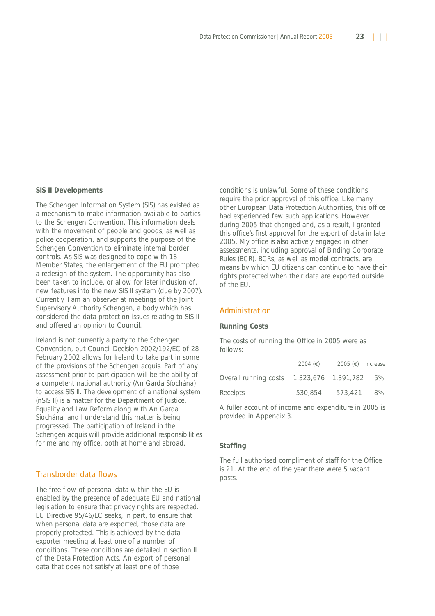#### *SIS II Developments*

The Schengen Information System (SIS) has existed as a mechanism to make information available to parties to the Schengen Convention. This information deals with the movement of people and goods, as well as police cooperation, and supports the purpose of the Schengen Convention to eliminate internal border controls. As SIS was designed to cope with 18 Member States, the enlargement of the EU prompted a redesign of the system. The opportunity has also been taken to include, or allow for later inclusion of, new features into the new SIS II system (due by 2007). Currently, I am an observer at meetings of the Joint Supervisory Authority Schengen, a body which has considered the data protection issues relating to SIS II and offered an opinion to Council.

Ireland is not currently a party to the Schengen Convention, but Council Decision 2002/192/EC of 28 February 2002 allows for Ireland to take part in some of the provisions of the Schengen acquis. Part of any assessment prior to participation will be the ability of a competent national authority (An Garda Síochána) to access SIS II. The development of a national system (nSIS II) is a matter for the Department of Justice, Equality and Law Reform along with An Garda Síochána, and I understand this matter is being progressed. The participation of Ireland in the Schengen acquis will provide additional responsibilities for me and my office, both at home and abroad.

### Transborder data flows

The free flow of personal data within the EU is enabled by the presence of adequate EU and national legislation to ensure that privacy rights are respected. EU Directive 95/46/EC seeks, in part, to ensure that when personal data are exported, those data are properly protected. This is achieved by the data exporter meeting at least one of a number of conditions. These conditions are detailed in section II of the Data Protection Acts. An export of personal data that does not satisfy at least one of those

conditions is unlawful. Some of these conditions require the prior approval of this office. Like many other European Data Protection Authorities, this office had experienced few such applications. However, during 2005 that changed and, as a result, I granted this office's first approval for the export of data in late 2005. My office is also actively engaged in other assessments, including approval of Binding Corporate Rules (BCR). BCRs, as well as model contracts, are means by which EU citizens can continue to have their rights protected when their data are exported outside of the EU.

### Administration

#### *Running Costs*

The costs of running the Office in 2005 were as follows:

|          | 2004 (€) | 2005 ( $\epsilon$ ) increase |  |
|----------|----------|------------------------------|--|
|          |          |                              |  |
| Receipts |          | 530.854 573.421 8%           |  |

A fuller account of income and expenditure in 2005 is provided in Appendix 3.

#### *Staffing*

The full authorised compliment of staff for the Office is 21. At the end of the year there were 5 vacant posts.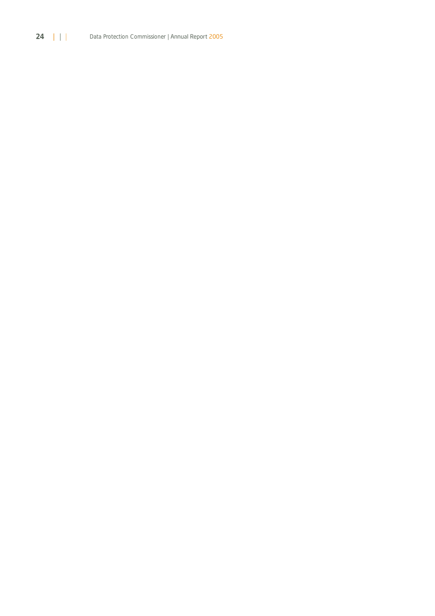### 24 | | | Data Protection Commissioner | Annual Report 2005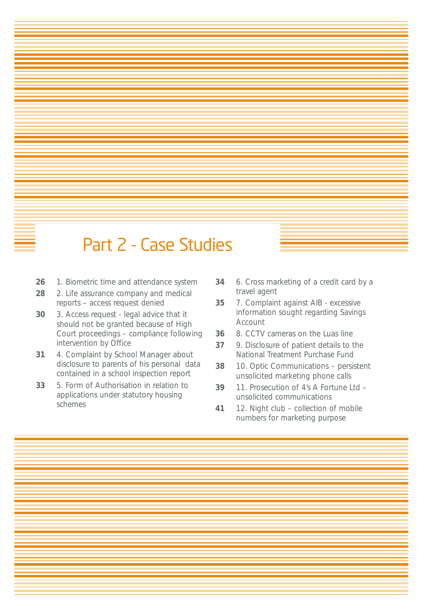# Part 2 - Case Studies

- 26 1. Biometric time and attendance system
- **28** 2. Life assurance company and medical reports – access request denied
- **30** 3. Access request legal advice that it should not be granted because of High Court proceedings – compliance following intervention by Office
- **31** 4. Complaint by School Manager about disclosure to parents of his personal data contained in a school inspection report
- **33** 5. Form of Authorisation in relation to applications under statutory housing schemes
- **34** 6. Cross marketing of a credit card by a travel agent
- **35** 7. Complaint against AIB excessive information sought regarding Savings Account
- **36** 8. CCTV cameras on the Luas line
- **37** 9. Disclosure of patient details to the National Treatment Purchase Fund
- **38** 10. Optic Communications persistent unsolicited marketing phone calls
- **39** 11. Prosecution of 4's A Fortune Ltd unsolicited communications
- **41** 12. Night club collection of mobile numbers for marketing purpose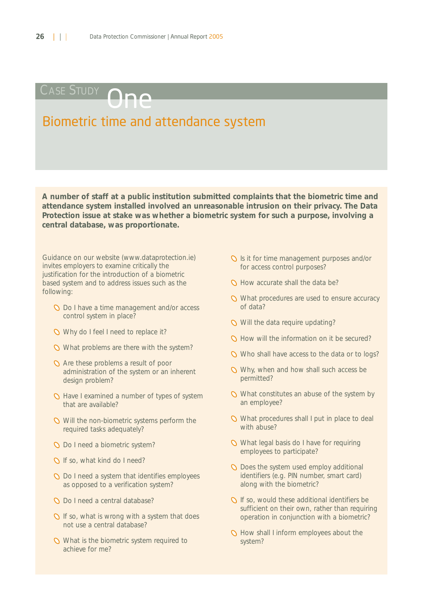# CASE STUDY **One**

### Biometric time and attendance system

**A number of staff at a public institution submitted complaints that the biometric time and attendance system installed involved an unreasonable intrusion on their privacy. The Data Protection issue at stake was whether a biometric system for such a purpose, involving a central database, was proportionate.** 

Guidance on our website (www.dataprotection.ie) invites employers to examine critically the justification for the introduction of a biometric based system and to address issues such as the following:

- **O** Do I have a time management and/or access control system in place?
- **Q** Why do I feel I need to replace it?
- **O** What problems are there with the system?
- **Q** Are these problems a result of poor administration of the system or an inherent design problem?
- $\bigcirc$  Have I examined a number of types of system that are available?
- Will the non-biometric systems perform the required tasks adequately?
- **O** Do I need a biometric system?
- **O** If so, what kind do I need?
- O Do I need a system that identifies employees as opposed to a verification system?
- O Do I need a central database?
- $\bigcirc$  If so, what is wrong with a system that does not use a central database?
- **Q** What is the biometric system required to achieve for me?
- $\bigcirc$  is it for time management purposes and/or for access control purposes?
- **Q** How accurate shall the data be?
- **Q** What procedures are used to ensure accuracy of data?
- **Q** Will the data require updating?
- $\bigcirc$  How will the information on it be secured?
- Who shall have access to the data or to logs?
- **Q** Why, when and how shall such access be permitted?
- What constitutes an abuse of the system by an employee?
- What procedures shall I put in place to deal with abuse?
- **Q** What legal basis do I have for requiring employees to participate?
- O Does the system used employ additional identifiers (e.g. PIN number, smart card) along with the biometric?
- $\bigcirc$  If so, would these additional identifiers be sufficient on their own, rather than requiring operation in conjunction with a biometric?
- **O** How shall I inform employees about the system?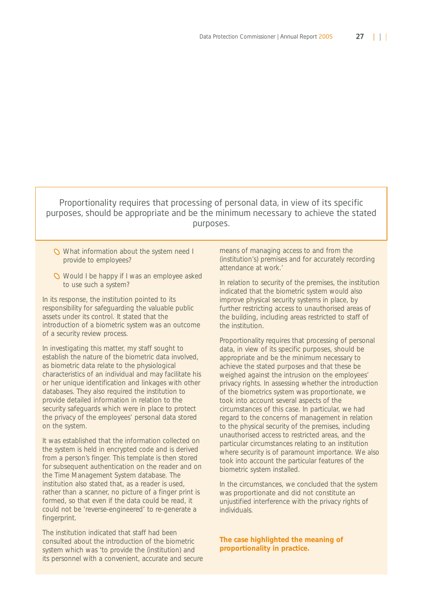Proportionality requires that processing of personal data, in view of its specific purposes, should be appropriate and be the minimum necessary to achieve the stated purposes.

- **Q** What information about the system need I provide to employees?
- **Q** Would I be happy if I was an employee asked to use such a system?

In its response, the institution pointed to its responsibility for safeguarding the valuable public assets under its control. It stated that the introduction of a biometric system was an outcome of a security review process.

In investigating this matter, my staff sought to establish the nature of the biometric data involved, as biometric data relate to the physiological characteristics of an individual and may facilitate his or her unique identification and linkages with other databases. They also required the institution to provide detailed information in relation to the security safeguards which were in place to protect the privacy of the employees' personal data stored on the system.

It was established that the information collected on the system is held in encrypted code and is derived from a person's finger. This template is then stored for subsequent authentication on the reader and on the Time Management System database. The institution also stated that, as a reader is used, rather than a scanner, no picture of a finger print is formed, so that even if the data could be read, it could not be 'reverse-engineered' to re-generate a fingerprint.

The institution indicated that staff had been consulted about the introduction of the biometric system which was 'to provide the (*institution*) and its personnel with a convenient, accurate and secure means of managing access to and from the (*institution's*) premises and for accurately recording attendance at work.'

In relation to security of the premises, the institution indicated that the biometric system would also improve physical security systems in place, by further restricting access to unauthorised areas of the building, including areas restricted to staff of the institution.

Proportionality requires that processing of personal data, in view of its specific purposes, should be appropriate and be the minimum necessary to achieve the stated purposes and that these be weighed against the intrusion on the employees' privacy rights. In assessing whether the introduction of the biometrics system was proportionate, we took into account several aspects of the circumstances of this case. In particular, we had regard to the concerns of management in relation to the physical security of the premises, including unauthorised access to restricted areas, and the particular circumstances relating to an institution where security is of paramount importance. We also took into account the particular features of the biometric system installed.

In the circumstances, we concluded that the system was proportionate and did not constitute an unjustified interference with the privacy rights of individuals.

**The case highlighted the meaning of proportionality in practice.**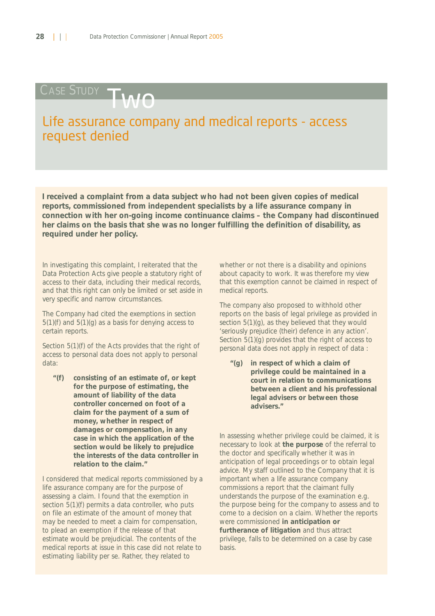# CASE STUDY TWO

### Life assurance company and medical reports - access request denied

**I received a complaint from a data subject who had not been given copies of medical reports, commissioned from independent specialists by a life assurance company in connection with her on-going income continuance claims – the Company had discontinued her claims on the basis that she was no longer fulfilling the definition of disability, as required under her policy.** 

In investigating this complaint, I reiterated that the Data Protection Acts give people a statutory right of access to their data, including their medical records, and that this right can only be limited or set aside in very specific and narrow circumstances.

The Company had cited the exemptions in section 5(1)(f) and 5(1)(g) as a basis for denying access to certain reports.

Section 5(1)(f) of the Acts provides that the right of access to personal data does not apply to personal data:

*"(f) consisting of an estimate of, or kept for the purpose of estimating, the amount of liability of the data controller concerned on foot of a claim for the payment of a sum of money, whether in respect of damages or compensation, in any case in which the application of the section would be likely to prejudice the interests of the data controller in relation to the claim."*

I considered that medical reports commissioned by a life assurance company are for the purpose of assessing a claim. I found that the exemption in section 5(1)(f) permits a data controller, who puts on file an estimate of the amount of money that may be needed to meet a claim for compensation, to plead an exemption if the release of that estimate would be prejudicial. The contents of the medical reports at issue in this case did not relate to estimating liability per se. Rather, they related to

whether or not there is a disability and opinions about capacity to work. It was therefore my view that this exemption cannot be claimed in respect of medical reports.

The company also proposed to withhold other reports on the basis of legal privilege as provided in section 5(1)(g), as they believed that they would 'seriously prejudice (their) defence in any action'. Section 5(1)(g) provides that the right of access to personal data does not apply in respect of data :

*"(g) in respect of which a claim of privilege could be maintained in a court in relation to communications between a client and his professional legal advisers or between those advisers."*

In assessing whether privilege could be claimed, it is necessary to look at **the purpose** of the referral to the doctor and specifically whether it was in anticipation of legal proceedings or to obtain legal advice. My staff outlined to the Company that it is important when a life assurance company commissions a report that the claimant fully understands the purpose of the examination e.g. the purpose being for the company to assess and to come to a decision on a claim. Whether the reports were commissioned **in anticipation or furtherance of litigation** and thus attract privilege, falls to be determined on a case by case basis.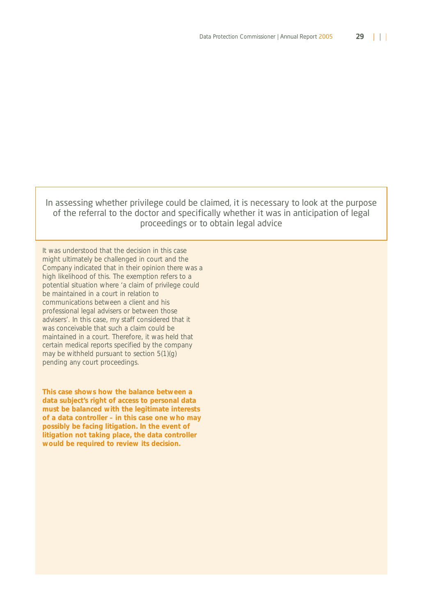In assessing whether privilege could be claimed, it is necessary to look at the purpose of the referral to the doctor and specifically whether it was in anticipation of legal proceedings or to obtain legal advice

It was understood that the decision in this case might ultimately be challenged in court and the Company indicated that in their opinion there was a high likelihood of this. The exemption refers to a potential situation where '*a claim of privilege could be maintained in a court in relation to communications between a client and his professional legal advisers or between those advisers'.* In this case, my staff considered that it was conceivable that such a claim could be maintained in a court. Therefore, it was held that certain medical reports specified by the company may be withheld pursuant to section 5(1)(g) pending any court proceedings.

**This case shows how the balance between a data subject's right of access to personal data must be balanced with the legitimate interests of a data controller – in this case one who may possibly be facing litigation. In the event of litigation not taking place, the data controller would be required to review its decision.**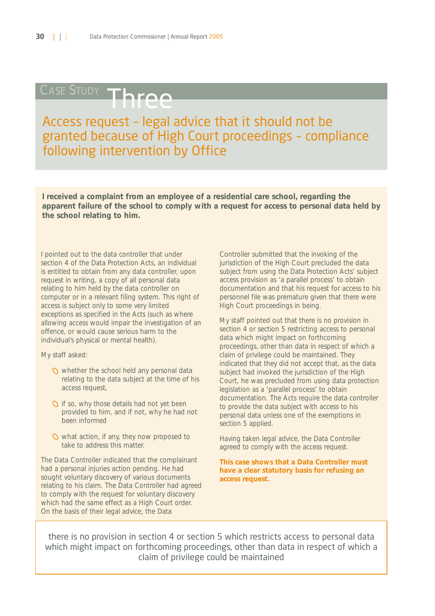# CASE STUDY Throp

Access request – legal advice that it should not be granted because of High Court proceedings – compliance following intervention by Office

**I received a complaint from an employee of a residential care school, regarding the apparent failure of the school to comply with a request for access to personal data held by the school relating to him.** 

I pointed out to the data controller that under section 4 of the Data Protection Acts, an individual is entitled to obtain from any data controller, upon request in writing, a copy of all personal data relating to him held by the data controller on computer or in a relevant filing system. This right of access is subject only to some very limited exceptions as specified in the Acts (such as where allowing access would impair the investigation of an offence, or would cause serious harm to the individual's physical or mental health).

My staff asked:

- **Q** whether the school held any personal data relating to the data subject at the time of his access request,
- $\bigcirc$  if so, why those details had not yet been provided to him, and if not, why he had not been informed
- **Q** what action, if any, they now proposed to take to address this matter.

The Data Controller indicated that the complainant had a personal injuries action pending. He had sought voluntary discovery of various documents relating to his claim. The Data Controller had agreed to comply with the request for voluntary discovery which had the same effect as a High Court order. On the basis of their legal advice, the Data

Controller submitted that the invoking of the jurisdiction of the High Court precluded the data subject from using the Data Protection Acts' subject access provision as 'a parallel process' to obtain documentation and that his request for access to his personnel file was premature given that there were High Court proceedings in being.

My staff pointed out that there is no provision in section 4 or section 5 restricting access to personal data which might impact on forthcoming proceedings, other than data in respect of which a claim of privilege could be maintained. They indicated that they did not accept that, as the data subject had invoked the jurisdiction of the High Court, he was precluded from using data protection legislation as a '*parallel process*' to obtain documentation. The Acts require the data controller to provide the data subject with access to his personal data unless one of the exemptions in section 5 applied.

Having taken legal advice, the Data Controller agreed to comply with the access request.

**This case shows that a Data Controller must have a clear statutory basis for refusing an access request.**

there is no provision in section 4 or section 5 which restricts access to personal data which might impact on forthcoming proceedings, other than data in respect of which a claim of privilege could be maintained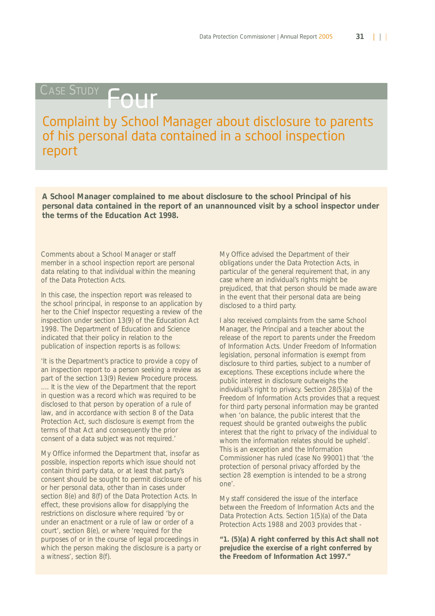# CASE STUDY FOLIL

Complaint by School Manager about disclosure to parents of his personal data contained in a school inspection report

**A School Manager complained to me about disclosure to the school Principal of his personal data contained in the report of an unannounced visit by a school inspector under the terms of the Education Act 1998.**

Comments about a School Manager or staff member in a school inspection report are personal data relating to that individual within the meaning of the Data Protection Acts.

In this case, the inspection report was released to the school principal, in response to an application by her to the Chief Inspector requesting a review of the inspection under section 13(9) of the Education Act 1998. The Department of Education and Science indicated that their policy in relation to the publication of inspection reports is as follows:

'It is the Department's practice to provide a copy of an inspection report to a person seeking a review as part of the section 13(9) Review Procedure process. .... It is the view of the Department that the report in question was a record which was required to be disclosed to that person by operation of a rule of law, and in accordance with section 8 of the Data Protection Act, such disclosure is exempt from the terms of that Act and consequently the prior consent of a data subject was not required.'

My Office informed the Department that, insofar as possible, inspection reports which issue should not contain third party data, or at least that party's consent should be sought to permit disclosure of his or her personal data, other than in cases under section 8(e) and 8(f) of the Data Protection Acts. In effect, these provisions allow for disapplying the restrictions on disclosure where required 'by or under an enactment or a rule of law or order of a court', section 8(e), or where 'required for the purposes of or in the course of legal proceedings in which the person making the disclosure is a party or a witness', section 8(f).

My Office advised the Department of their obligations under the Data Protection Acts, in particular of the general requirement that, in any case where an individual's rights might be prejudiced, that that person should be made aware in the event that their personal data are being disclosed to a third party.

I also received complaints from the same School Manager, the Principal and a teacher about the release of the report to parents under the Freedom of Information Acts. Under Freedom of Information legislation, personal information is exempt from disclosure to third parties, subject to a number of exceptions. These exceptions include where the public interest in disclosure outweighs the individual's right to privacy. Section 28(5)(a) of the Freedom of Information Acts provides that a request for third party personal information may be granted when *'on balance, the public interest that the request should be granted outweighs the public interest that the right to privacy of the individual to whom the information relates should be upheld'.* This is an exception and the Information Commissioner has ruled (case No 99001) that '*the protection of personal privacy afforded by the section 28 exemption is intended to be a strong one'.*

My staff considered the issue of the interface between the Freedom of Information Acts and the Data Protection Acts. Section 1(5)(a) of the Data Protection Acts 1988 and 2003 provides that -

*"1. (5)(a) A right conferred by this Act shall not prejudice the exercise of a right conferred by the Freedom of Information Act 1997."*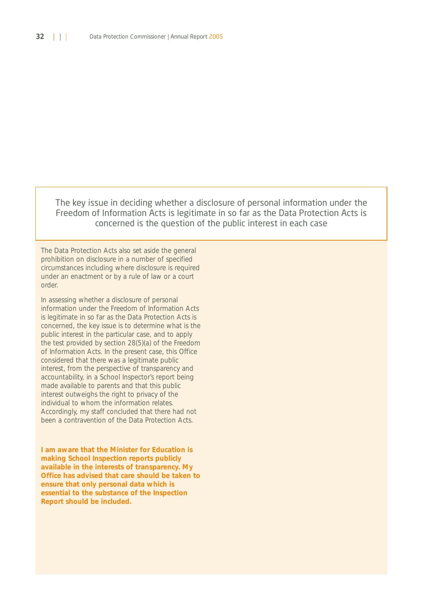The key issue in deciding whether a disclosure of personal information under the Freedom of Information Acts is legitimate in so far as the Data Protection Acts is concerned is the question of the public interest in each case

The Data Protection Acts also set aside the general prohibition on disclosure in a number of specified circumstances including where disclosure is required under an enactment or by a rule of law or a court order.

In assessing whether a disclosure of personal information under the Freedom of Information Acts is legitimate in so far as the Data Protection Acts is concerned, the key issue is to determine what is the public interest in the particular case, and to apply the test provided by section 28(5)(a) of the Freedom of Information Acts. In the present case, this Office considered that there was a legitimate public interest, from the perspective of transparency and accountability, in a School Inspector's report being made available to parents and that this public interest outweighs the right to privacy of the individual to whom the information relates. Accordingly, my staff concluded that there had not been a contravention of the Data Protection Acts.

**I am aware that the Minister for Education is making School Inspection reports publicly available in the interests of transparency. My Office has advised that care should be taken to ensure that only personal data which is essential to the substance of the Inspection Report should be included.**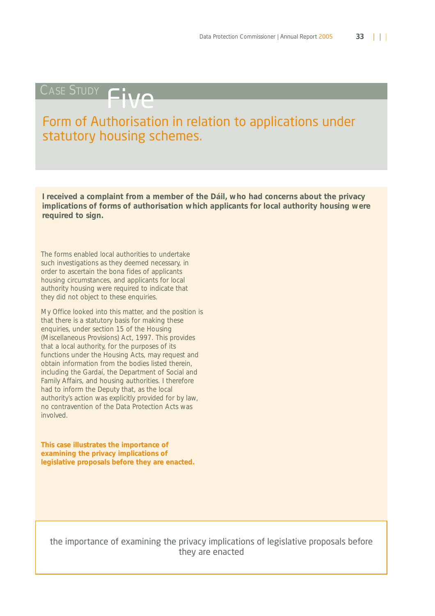# CASE STUDY **Five**

### Form of Authorisation in relation to applications under statutory housing schemes.

**I received a complaint from a member of the Dáil, who had concerns about the privacy implications of forms of authorisation which applicants for local authority housing were required to sign.**

The forms enabled local authorities to undertake such investigations as they deemed necessary, in order to ascertain the bona fides of applicants housing circumstances, and applicants for local authority housing were required to indicate that they did not object to these enquiries.

My Office looked into this matter, and the position is that there is a statutory basis for making these enquiries, under section 15 of the Housing (Miscellaneous Provisions) Act, 1997. This provides that a local authority, for the purposes of its functions under the Housing Acts, may request and obtain information from the bodies listed therein, including the Gardaí, the Department of Social and Family Affairs, and housing authorities. I therefore had to inform the Deputy that, as the local authority's action was explicitly provided for by law, no contravention of the Data Protection Acts was involved.

**This case illustrates the importance of examining the privacy implications of legislative proposals before they are enacted.** 

the importance of examining the privacy implications of legislative proposals before they are enacted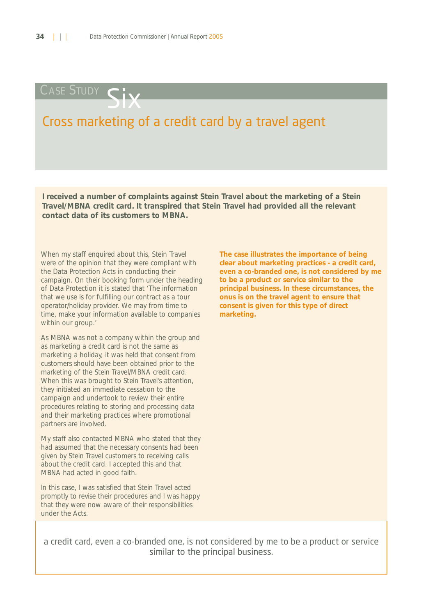

### Cross marketing of a credit card by a travel agent

**I received a number of complaints against Stein Travel about the marketing of a Stein Travel/MBNA credit card. It transpired that Stein Travel had provided all the relevant contact data of its customers to MBNA.** 

When my staff enquired about this, Stein Travel were of the opinion that they were compliant with the Data Protection Acts in conducting their campaign. On their booking form under the heading of Data Protection it is stated that *'The information that we use is for fulfilling our contract as a tour operator/holiday provider. We may from time to time, make your information available to companies within our group.'* 

As MBNA was not a company within the group and as marketing a credit card is not the same as marketing a holiday, it was held that consent from customers should have been obtained prior to the marketing of the Stein Travel/MBNA credit card. When this was brought to Stein Travel's attention, they initiated an immediate cessation to the campaign and undertook to review their entire procedures relating to storing and processing data and their marketing practices where promotional partners are involved.

My staff also contacted MBNA who stated that they had assumed that the necessary consents had been given by Stein Travel customers to receiving calls about the credit card. I accepted this and that MBNA had acted in good faith.

In this case, I was satisfied that Stein Travel acted promptly to revise their procedures and I was happy that they were now aware of their responsibilities under the Acts.

**The case illustrates the importance of being clear about marketing practices - a credit card, even a co-branded one, is not considered by me to be a product or service similar to the principal business. In these circumstances, the onus is on the travel agent to ensure that consent is given for this type of direct marketing.**

a credit card, even a co-branded one, is not considered by me to be a product or service similar to the principal business.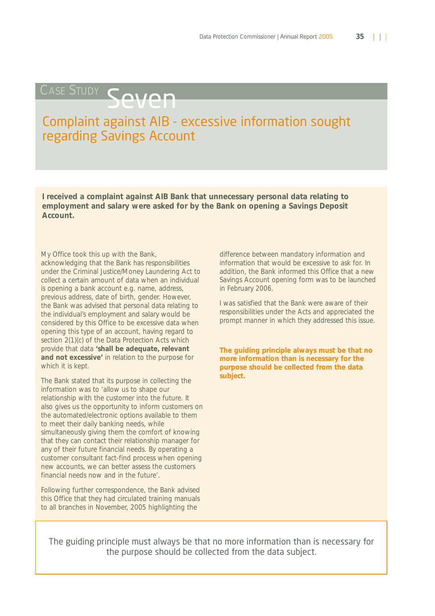# CASE STUDY COVOD

### Complaint against AIB - excessive information sought regarding Savings Account

**I received a complaint against AIB Bank that unnecessary personal data relating to employment and salary were asked for by the Bank on opening a Savings Deposit Account.** 

My Office took this up with the Bank,

acknowledging that the Bank has responsibilities under the Criminal Justice/Money Laundering Act to collect a certain amount of data when an individual is opening a bank account e.g. name, address, previous address, date of birth, gender. However, the Bank was advised that personal data relating to the individual's employment and salary would be considered by this Office to be excessive data when opening this type of an account, having regard to section 2(1)(c) of the Data Protection Acts which provide that data **'shall be adequate, relevant and not excessive'** in relation to the purpose for which it is kept*.* 

The Bank stated that its purpose in collecting the information was to '*allow us to shape our relationship with the customer into the future. It also gives us the opportunity to inform customers on the automated/electronic options available to them to meet their daily banking needs, while simultaneously giving them the comfort of knowing that they can contact their relationship manager for any of their future financial needs. By operating a customer consultant fact-find process when opening new accounts, we can better assess the customers financial needs now and in the future'.*

Following further correspondence, the Bank advised this Office that they had circulated training manuals to all branches in November, 2005 highlighting the

difference between mandatory information and information that would be excessive to ask for. In addition, the Bank informed this Office that a new Savings Account opening form was to be launched in February 2006.

I was satisfied that the Bank were aware of their responsibilities under the Acts and appreciated the prompt manner in which they addressed this issue.

**The guiding principle always must be that no more information than is necessary for the purpose should be collected from the data subject.**

The guiding principle must always be that no more information than is necessary for the purpose should be collected from the data subject.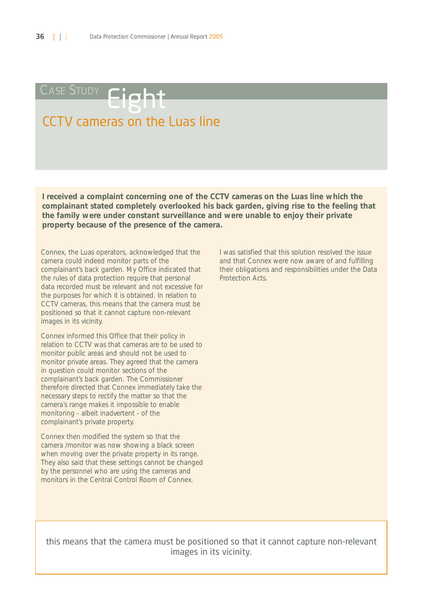# CASE STUDY **Ciaht**

### CCTV cameras on the Luas line

**I received a complaint concerning one of the CCTV cameras on the Luas line which the complainant stated completely overlooked his back garden, giving rise to the feeling that the family were under constant surveillance and were unable to enjoy their private property because of the presence of the camera.**

Connex, the Luas operators, acknowledged that the camera could indeed monitor parts of the complainant's back garden. My Office indicated that the rules of data protection require that personal data recorded must be relevant and not excessive for the purposes for which it is obtained. In relation to CCTV cameras, this means that the camera must be positioned so that it cannot capture non-relevant images in its vicinity.

Connex informed this Office that their policy in relation to CCTV was that cameras are to be used to monitor public areas and should not be used to monitor private areas. They agreed that the camera in question could monitor sections of the complainant's back garden. The Commissioner therefore directed that Connex immediately take the necessary steps to rectify the matter so that the camera's range makes it impossible to enable monitoring - albeit inadvertent - of the complainant's private property.

Connex then modified the system so that the camera /monitor was now showing a black screen when moving over the private property in its range. They also said that these settings cannot be changed by the personnel who are using the cameras and monitors in the Central Control Room of Connex.

I was satisfied that this solution resolved the issue and that Connex were now aware of and fulfilling their obligations and responsibilities under the Data Protection Acts.

this means that the camera must be positioned so that it cannot capture non-relevant images in its vicinity.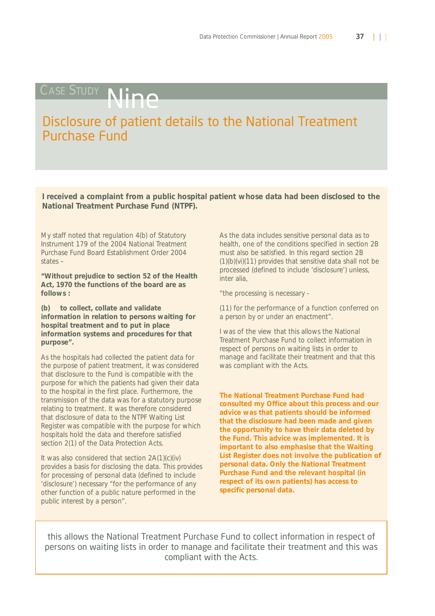# CASE STUDY Nine

### Disclosure of patient details to the National Treatment Purchase Fund

**I received a complaint from a public hospital patient whose data had been disclosed to the National Treatment Purchase Fund (NTPF).**

My staff noted that regulation 4(b) of Statutory Instrument 179 of the 2004 National Treatment Purchase Fund Board Establishment Order 2004 states –

*"Without prejudice to section 52 of the Health Act, 1970 the functions of the board are as follows :*

*(b) to collect, collate and validate information in relation to persons waiting for hospital treatment and to put in place information systems and procedures for that purpose".*

As the hospitals had collected the patient data for the purpose of patient treatment, it was considered that disclosure to the Fund is compatible with the purpose for which the patients had given their data to the hospital in the first place. Furthermore, the transmission of the data was for a statutory purpose relating to treatment. It was therefore considered that disclosure of data to the NTPF Waiting List Register was compatible with the purpose for which hospitals hold the data and therefore satisfied section 2(1) of the Data Protection Acts.

It was also considered that section 2A(1)(c)(iv) provides a basis for disclosing the data. This provides for processing of personal data (defined to include 'disclosure') necessary *"for the performance of any other function of a public nature performed in the public interest by a person".*

As the data includes sensitive personal data as to health, one of the conditions specified in section 2B must also be satisfied. In this regard section 2B (1)(b)(vi)(11) provides that sensitive data shall not be processed (defined to include 'disclosure') unless, inter alia,

*"the processing is necessary -*

*(11) for the performance of a function conferred on a person by or under an enactment".*

I was of the view that this allows the National Treatment Purchase Fund to collect information in respect of persons on waiting lists in order to manage and facilitate their treatment and that this was compliant with the Acts.

**The National Treatment Purchase Fund had consulted my Office about this process and our advice was that patients should be informed that the disclosure had been made and given the opportunity to have their data deleted by the Fund. This advice was implemented. It is important to also emphasise that the Waiting List Register does not involve the publication of personal data. Only the National Treatment Purchase Fund and the relevant hospital (in respect of its own patients) has access to specific personal data.** 

this allows the National Treatment Purchase Fund to collect information in respect of persons on waiting lists in order to manage and facilitate their treatment and this was compliant with the Acts.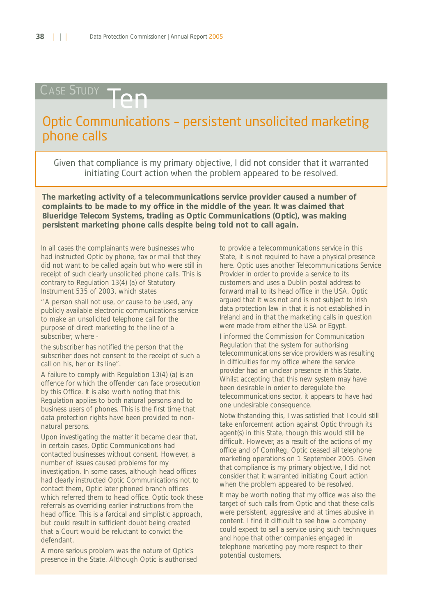# CASE STUDY TON

Optic Communications – persistent unsolicited marketing phone calls

Given that compliance is my primary objective, I did not consider that it warranted initiating Court action when the problem appeared to be resolved.

**The marketing activity of a telecommunications service provider caused a number of complaints to be made to my office in the middle of the year. It was claimed that Blueridge Telecom Systems, trading as Optic Communications (Optic), was making persistent marketing phone calls despite being told not to call again.**

In all cases the complainants were businesses who had instructed Optic by phone, fax or mail that they did not want to be called again but who were still in receipt of such clearly unsolicited phone calls. This is contrary to Regulation 13(4) (a) of Statutory Instrument 535 of 2003, which states

"*A person shall not use, or cause to be used, any publicly available electronic communications service to make an unsolicited telephone call for the purpose of direct marketing to the line of a subscriber, where -*

*the subscriber has notified the person that the subscriber does not consent to the receipt of such a call on his, her or its line".*

A failure to comply with Regulation 13(4) (a) is an offence for which the offender can face prosecution by this Office. It is also worth noting that this Regulation applies to both natural persons and to business users of phones. This is the first time that data protection rights have been provided to nonnatural persons.

Upon investigating the matter it became clear that, in certain cases, Optic Communications had contacted businesses without consent. However, a number of issues caused problems for my investigation. In some cases, although head offices had clearly instructed Optic Communications not to contact them, Optic later phoned branch offices which referred them to head office. Optic took these referrals as overriding earlier instructions from the head office. This is a farcical and simplistic approach, but could result in sufficient doubt being created that a Court would be reluctant to convict the defendant.

A more serious problem was the nature of Optic's presence in the State. Although Optic is authorised to provide a telecommunications service in this State, it is not required to have a physical presence here. Optic uses another Telecommunications Service Provider in order to provide a service to its customers and uses a Dublin postal address to forward mail to its head office in the USA. Optic argued that it was not and is not subject to Irish data protection law in that it is not established in Ireland and in that the marketing calls in question were made from either the USA or Egypt.

I informed the Commission for Communication Regulation that the system for authorising telecommunications service providers was resulting in difficulties for my office where the service provider had an unclear presence in this State. Whilst accepting that this new system may have been desirable in order to deregulate the telecommunications sector, it appears to have had one undesirable consequence.

Notwithstanding this, I was satisfied that I could still take enforcement action against Optic through its agent(s) in this State, though this would still be difficult. However, as a result of the actions of my office and of ComReg, Optic ceased all telephone marketing operations on 1 September 2005. Given that compliance is my primary objective, I did not consider that it warranted initiating Court action when the problem appeared to be resolved.

It may be worth noting that my office was also the target of such calls from Optic and that these calls were persistent, aggressive and at times abusive in content. I find it difficult to see how a company could expect to sell a service using such techniques and hope that other companies engaged in telephone marketing pay more respect to their potential customers.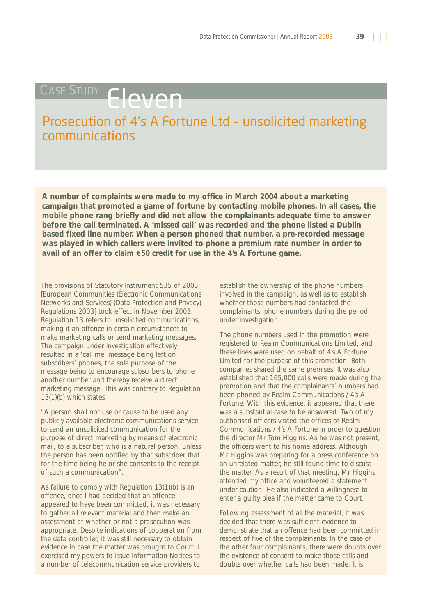# CASE STUDY **Eloven**

### Prosecution of 4's A Fortune Ltd – unsolicited marketing communications

**A number of complaints were made to my office in March 2004 about a marketing campaign that promoted a game of fortune by contacting mobile phones. In all cases, the mobile phone rang briefly and did not allow the complainants adequate time to answer before the call terminated. A 'missed call' was recorded and the phone listed a Dublin based fixed line number. When a person phoned that number, a pre-recorded message was played in which callers were invited to phone a premium rate number in order to avail of an offer to claim €50 credit for use in the 4's A Fortune game.**

The provisions of Statutory Instrument 535 of 2003 [European Communities (Electronic Communications Networks and Services) (Data Protection and Privacy) Regulations 2003] took effect in November 2003. Regulation 13 refers to unsolicited communications, making it an offence in certain circumstances to make marketing calls or send marketing messages. The campaign under investigation effectively resulted in a 'call me' message being left on subscribers' phones, the sole purpose of the message being to encourage subscribers to phone another number and thereby receive a direct marketing message. This was contrary to Regulation 13(1)(b) which states

*"A person shall not use or cause to be used any publicly available electronic communications service to send an unsolicited communication for the purpose of direct marketing by means of electronic mail, to a subscriber, who is a natural person, unless the person has been notified by that subscriber that for the time being he or she consents to the receipt of such a communication".*

As failure to comply with Regulation 13(1)(b) is an offence, once I had decided that an offence appeared to have been committed, it was necessary to gather all relevant material and then make an assessment of whether or not a prosecution was appropriate. Despite indications of cooperation from the data controller, it was still necessary to obtain evidence in case the matter was brought to Court. I exercised my powers to issue Information Notices to a number of telecommunication service providers to

establish the ownership of the phone numbers involved in the campaign, as well as to establish whether those numbers had contacted the complainants' phone numbers during the period under investigation.

The phone numbers used in the promotion were registered to Realm Communications Limited, and these lines were used on behalf of 4's A Fortune Limited for the purpose of this promotion. Both companies shared the same premises. It was also established that 165,000 calls were made during the promotion and that the complainants' numbers had been phoned by Realm Communications / 4's A Fortune. With this evidence, it appeared that there was a substantial case to be answered. Two of my authorised officers visited the offices of Realm Communications / 4's A Fortune in order to question the director Mr Tom Higgins. As he was not present, the officers went to his home address. Although Mr Higgins was preparing for a press conference on an unrelated matter, he still found time to discuss the matter. As a result of that meeting, Mr Higgins attended my office and volunteered a statement under caution. He also indicated a willingness to enter a guilty plea if the matter came to Court.

Following assessment of all the material, it was decided that there was sufficient evidence to demonstrate that an offence had been committed in respect of five of the complainants. In the case of the other four complainants, there were doubts over the existence of consent to make those calls and doubts over whether calls had been made. It is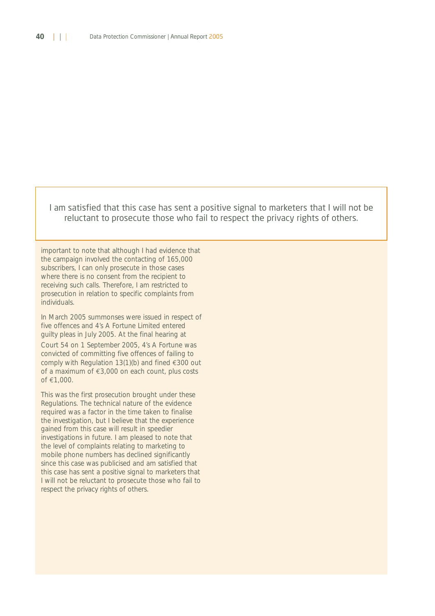I am satisfied that this case has sent a positive signal to marketers that I will not be reluctant to prosecute those who fail to respect the privacy rights of others.

important to note that although I had evidence that the campaign involved the contacting of 165,000 subscribers, I can only prosecute in those cases where there is no consent from the recipient to receiving such calls. Therefore, I am restricted to prosecution in relation to specific complaints from individuals.

In March 2005 summonses were issued in respect of five offences and 4's A Fortune Limited entered guilty pleas in July 2005. At the final hearing at

Court 54 on 1 September 2005, 4's A Fortune was convicted of committing five offences of failing to comply with Regulation 13(1)(b) and fined €300 out of a maximum of €3,000 on each count, plus costs of €1,000.

This was the first prosecution brought under these Regulations. The technical nature of the evidence required was a factor in the time taken to finalise the investigation, but I believe that the experience gained from this case will result in speedier investigations in future. I am pleased to note that the level of complaints relating to marketing to mobile phone numbers has declined significantly since this case was publicised and am satisfied that this case has sent a positive signal to marketers that I will not be reluctant to prosecute those who fail to respect the privacy rights of others.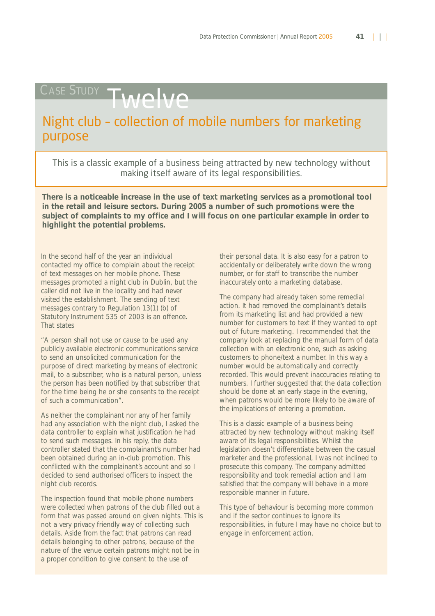# CASE STUDY TWALVA

### Night club – collection of mobile numbers for marketing purpose

This is a classic example of a business being attracted by new technology without making itself aware of its legal responsibilities.

**There is a noticeable increase in the use of text marketing services as a promotional tool in the retail and leisure sectors. During 2005 a number of such promotions were the subject of complaints to my office and I will focus on one particular example in order to highlight the potential problems.**

In the second half of the year an individual contacted my office to complain about the receipt of text messages on her mobile phone. These messages promoted a night club in Dublin, but the caller did not live in the locality and had never visited the establishment. The sending of text messages contrary to Regulation 13(1) (b) of Statutory Instrument 535 of 2003 is an offence. That states

*"A person shall not use or cause to be used any publicly available electronic communications service to send an unsolicited communication for the purpose of direct marketing by means of electronic mail, to a subscriber, who is a natural person, unless the person has been notified by that subscriber that for the time being he or she consents to the receipt of such a communication".*

As neither the complainant nor any of her family had any association with the night club, I asked the data controller to explain what justification he had to send such messages. In his reply, the data controller stated that the complainant's number had been obtained during an in-club promotion. This conflicted with the complainant's account and so I decided to send authorised officers to inspect the night club records.

The inspection found that mobile phone numbers were collected when patrons of the club filled out a form that was passed around on given nights. This is not a very privacy friendly way of collecting such details. Aside from the fact that patrons can read details belonging to other patrons, because of the nature of the venue certain patrons might not be in a proper condition to give consent to the use of

their personal data. It is also easy for a patron to accidentally or deliberately write down the wrong number, or for staff to transcribe the number inaccurately onto a marketing database.

The company had already taken some remedial action. It had removed the complainant's details from its marketing list and had provided a new number for customers to text if they wanted to opt out of future marketing. I recommended that the company look at replacing the manual form of data collection with an electronic one, such as asking customers to phone/text a number. In this way a number would be automatically and correctly recorded. This would prevent inaccuracies relating to numbers. I further suggested that the data collection should be done at an early stage in the evening, when patrons would be more likely to be aware of the implications of entering a promotion.

This is a classic example of a business being attracted by new technology without making itself aware of its legal responsibilities. Whilst the legislation doesn't differentiate between the casual marketer and the professional, I was not inclined to prosecute this company. The company admitted responsibility and took remedial action and I am satisfied that the company will behave in a more responsible manner in future.

This type of behaviour is becoming more common and if the sector continues to ignore its responsibilities, in future I may have no choice but to engage in enforcement action.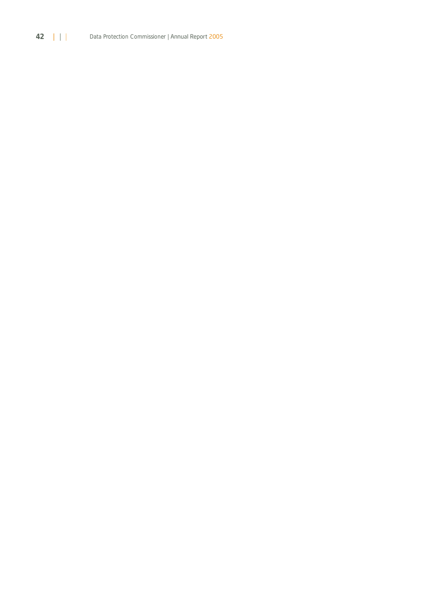### | **|** | Data Protection Commissioner | Annual Report 2005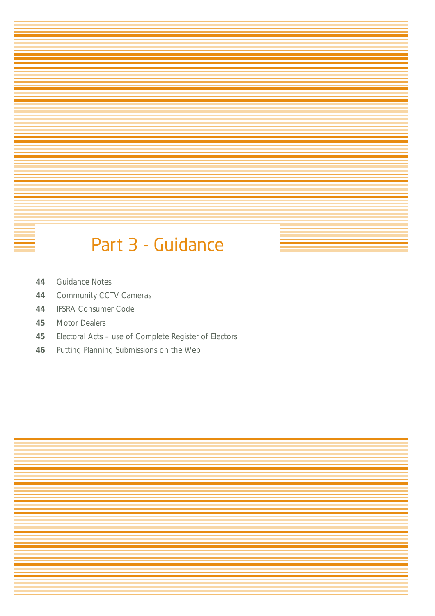# Part 3 - Guidance

- Guidance Notes
- Community CCTV Cameras
- IFSRA Consumer Code
- Motor Dealers
- Electoral Acts use of Complete Register of Electors
- Putting Planning Submissions on the Web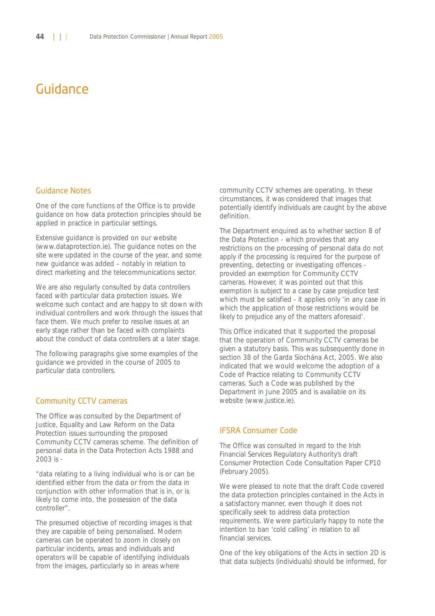### Guidance

### Guidance Notes

One of the core functions of the Office is to provide guidance on how data protection principles should be applied in practice in particular settings.

Extensive guidance is provided on our website (www.dataprotection.ie). The guidance notes on the site were updated in the course of the year, and some new guidance was added – notably in relation to direct marketing and the telecommunications sector.

We are also regularly consulted by data controllers faced with particular data protection issues. We welcome such contact and are happy to sit down with individual controllers and work through the issues that face them. We much prefer to resolve issues at an early stage rather than be faced with complaints about the conduct of data controllers at a later stage.

The following paragraphs give some examples of the guidance we provided in the course of 2005 to particular data controllers.

### Community CCTV cameras

The Office was consulted by the Department of Justice, Equality and Law Reform on the Data Protection issues surrounding the proposed Community CCTV cameras scheme. The definition of personal data in the Data Protection Acts 1988 and 2003 is -

*"data relating to a living individual who is or can be identified either from the data or from the data in conjunction with other information that is in, or is likely to come into, the possession of the data controller".*

The presumed objective of recording images is that they are capable of being personalised. Modern cameras can be operated to zoom in closely on particular incidents, areas and individuals and operators will be capable of identifying individuals from the images, particularly so in areas where

community CCTV schemes are operating. In these circumstances, it was considered that images that potentially identify individuals are caught by the above definition.

The Department enquired as to whether section 8 of the Data Protection - which provides that any restrictions on the processing of personal data do not apply if the processing is required for the purpose of preventing, detecting or investigating offences provided an exemption for Community CCTV cameras. However, it was pointed out that this exemption is subject to a case by case prejudice test which must be satisfied - it applies only 'in any case in which the application of those restrictions would be likely to prejudice any of the matters aforesaid'.

This Office indicated that it supported the proposal that the operation of Community CCTV cameras be given a statutory basis. This was subsequently done in section 38 of the Garda Síochána Act, 2005. We also indicated that we would welcome the adoption of a Code of Practice relating to Community CCTV cameras. Such a Code was published by the Department in June 2005 and is available on its website (www.justice.ie).

### IFSRA Consumer Code

The Office was consulted in regard to the Irish Financial Services Regulatory Authority's draft Consumer Protection Code Consultation Paper CP10 (February 2005).

We were pleased to note that the draft Code covered the data protection principles contained in the Acts in a satisfactory manner, even though it does not specifically seek to address data protection requirements. We were particularly happy to note the intention to ban 'cold calling' in relation to all financial services.

One of the key obligations of the Acts in section 2D is that data subjects (individuals) should be informed, for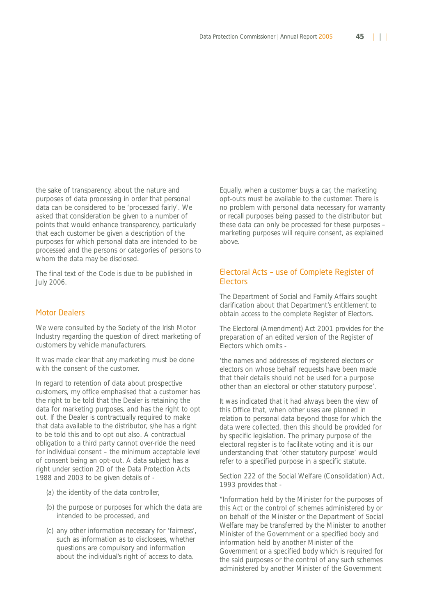the sake of transparency, about the nature and purposes of data processing in order that personal data can be considered to be 'processed fairly'. We asked that consideration be given to a number of points that would enhance transparency, particularly that each customer be given a description of the purposes for which personal data are intended to be processed and the persons or categories of persons to whom the data may be disclosed.

The final text of the Code is due to be published in July 2006.

### Motor Dealers

We were consulted by the Society of the Irish Motor Industry regarding the question of direct marketing of customers by vehicle manufacturers.

It was made clear that any marketing must be done with the consent of the customer.

In regard to retention of data about prospective customers, my office emphasised that a customer has the right to be told that the Dealer is retaining the data for marketing purposes, and has the right to opt out. If the Dealer is contractually required to make that data available to the distributor, s/he has a right to be told this and to opt out also. A contractual obligation to a third party cannot over-ride the need for individual consent – the minimum acceptable level of consent being an opt-out. A data subject has a right under section 2D of the Data Protection Acts 1988 and 2003 to be given details of -

- (a) the identity of the data controller,
- (b) the purpose or purposes for which the data are intended to be processed, and
- (c) any other information necessary for 'fairness', such as information as to disclosees, whether questions are compulsory and information about the individual's right of access to data.

Equally, when a customer buys a car, the marketing opt-outs must be available to the customer. There is no problem with personal data necessary for warranty or recall purposes being passed to the distributor but these data can only be processed for these purposes – marketing purposes will require consent, as explained above.

### Electoral Acts – use of Complete Register of **Electors**

The Department of Social and Family Affairs sought clarification about that Department's entitlement to obtain access to the complete Register of Electors.

The Electoral (Amendment) Act 2001 provides for the preparation of an edited version of the Register of Electors which omits -

*'the names and addresses of registered electors or electors on whose behalf requests have been made that their details should not be used for a purpose other than an electoral or other statutory purpose'.*

It was indicated that it had always been the view of this Office that, when other uses are planned in relation to personal data beyond those for which the data were collected, then this should be provided for by specific legislation. The primary purpose of the electoral register is to facilitate voting and it is our understanding that 'other statutory purpose' would refer to a specified purpose in a specific statute.

Section 222 of the Social Welfare (Consolidation) Act, 1993 provides that -

*"Information held by the Minister for the purposes of this Act or the control of schemes administered by or on behalf of the Minister or the Department of Social Welfare may be transferred by the Minister to another Minister of the Government or a specified body and information held by another Minister of the Government or a specified body which is required for the said purposes or the control of any such schemes administered by another Minister of the Government*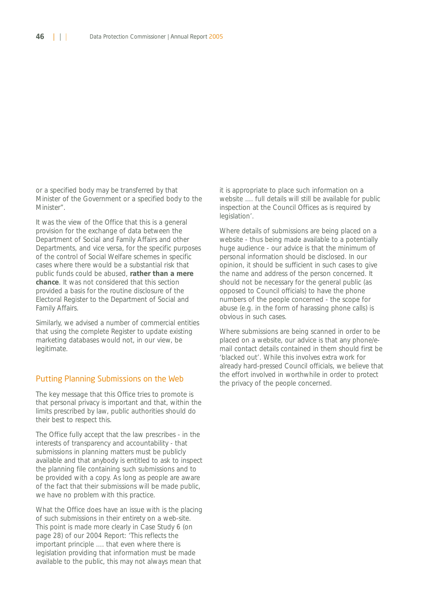*or a specified body may be transferred by that Minister of the Government or a specified body to the Minister".*

It was the view of the Office that this is a general provision for the exchange of data between the Department of Social and Family Affairs and other Departments, and vice versa, for the specific purposes of the control of Social Welfare schemes in specific cases where there would be a substantial risk that public funds could be abused, *rather than a mere chance*. It was not considered that this section provided a basis for the routine disclosure of the Electoral Register to the Department of Social and Family Affairs.

Similarly, we advised a number of commercial entities that using the complete Register to update existing marketing databases would not, in our view, be legitimate.

### Putting Planning Submissions on the Web

The key message that this Office tries to promote is that personal privacy is important and that, within the limits prescribed by law, public authorities should do their best to respect this.

The Office fully accept that the law prescribes - in the interests of transparency and accountability - that submissions in planning matters must be publicly available and that anybody is entitled to ask to inspect the planning file containing such submissions and to be provided with a copy. As long as people are aware of the fact that their submissions will be made public, we have no problem with this practice.

What the Office does have an issue with is the placing of such submissions in their entirety on a web-site. This point is made more clearly in Case Study 6 (on page 28) of our 2004 Report: 'This reflects the important principle .... that even where there is legislation providing that information must be made available to the public, this may not always mean that

it is appropriate to place such information on a website .... full details will still be available for public inspection at the Council Offices as is required by legislation'.

Where details of submissions are being placed on a website - thus being made available to a potentially huge audience - our advice is that the minimum of personal information should be disclosed. In our opinion, it should be sufficient in such cases to give the name and address of the person concerned. It should not be necessary for the general public (as opposed to Council officials) to have the phone numbers of the people concerned - the scope for abuse (e.g. in the form of harassing phone calls) is obvious in such cases.

Where submissions are being scanned in order to be placed on a website, our advice is that any phone/email contact details contained in them should first be 'blacked out'. While this involves extra work for already hard-pressed Council officials, we believe that the effort involved in worthwhile in order to protect the privacy of the people concerned.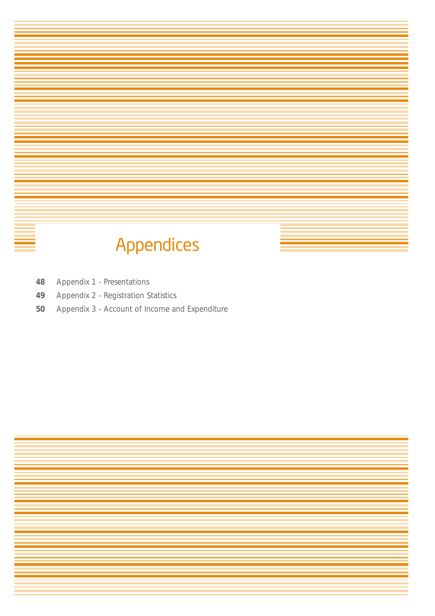# Appendices

- Appendix 1 Presentations
- Appendix 2 Registration Statistics
- Appendix 3 Account of Income and Expenditure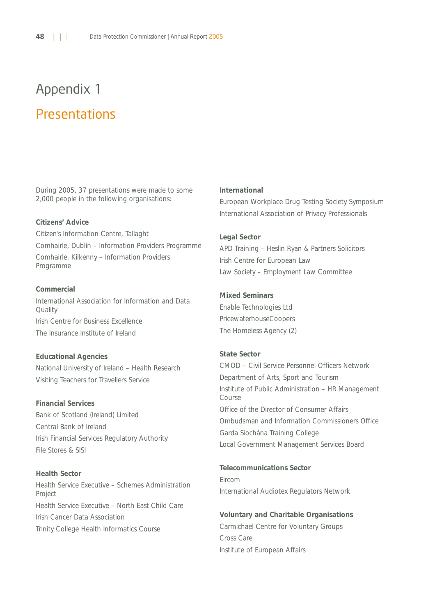# Appendix 1 Presentations

During 2005, 37 presentations were made to some 2,000 people in the following organisations:

### *Citizens' Advice*

Citizen's Information Centre, Tallaght Comhairle, Dublin – Information Providers Programme Comhairle, Kilkenny – Information Providers Programme

#### *Commercial*

International Association for Information and Data **Ouality** Irish Centre for Business Excellence The Insurance Institute of Ireland

#### *Educational Agencies*

National University of Ireland – Health Research Visiting Teachers for Travellers Service

#### *Financial Services*

Bank of Scotland (Ireland) Limited Central Bank of Ireland Irish Financial Services Regulatory Authority File Stores & SISI

### *Health Sector*

Health Service Executive – Schemes Administration Project Health Service Executive – North East Child Care Irish Cancer Data Association Trinity College Health Informatics Course

### *International*

European Workplace Drug Testing Society Symposium International Association of Privacy Professionals

#### *Legal Sector*

APD Training – Heslin Ryan & Partners Solicitors Irish Centre for European Law Law Society – Employment Law Committee

### *Mixed Seminars*

Enable Technologies Ltd PricewaterhouseCoopers The Homeless Agency (2)

#### *State Sector*

CMOD – Civil Service Personnel Officers Network Department of Arts, Sport and Tourism Institute of Public Administration – HR Management Course Office of the Director of Consumer Affairs Ombudsman and Information Commissioners Office Garda Síochána Training College Local Government Management Services Board

#### *Telecommunications Sector*

Eircom International Audiotex Regulators Network

### *Voluntary and Charitable Organisations*

Carmichael Centre for Voluntary Groups Cross Care Institute of European Affairs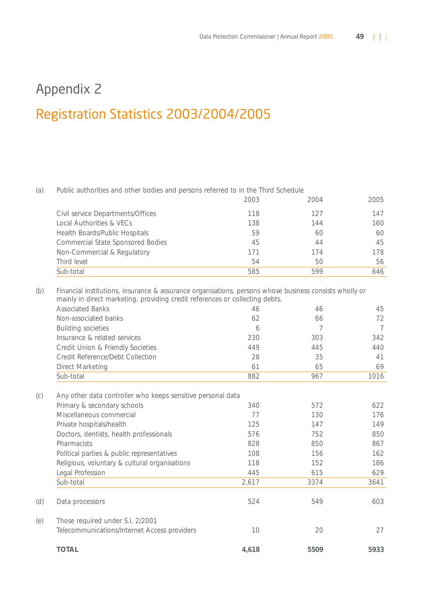# Appendix 2

# Registration Statistics 2003/2004/2005

| (a) | Public authorities and other bodies and persons referred to in the Third Schedule                                                                                                      |       |      |      |  |  |
|-----|----------------------------------------------------------------------------------------------------------------------------------------------------------------------------------------|-------|------|------|--|--|
|     |                                                                                                                                                                                        | 2003  | 2004 | 2005 |  |  |
|     | Civil service Departments/Offices                                                                                                                                                      | 118   | 127  | 147  |  |  |
|     | Local Authorities & VECs                                                                                                                                                               | 138   | 144  | 160  |  |  |
|     | Health Boards/Public Hospitals                                                                                                                                                         | 59    | 60   | 60   |  |  |
|     | <b>Commercial State Sponsored Bodies</b>                                                                                                                                               | 45    | 44   | 45   |  |  |
|     | Non-Commercial & Regulatory                                                                                                                                                            | 171   | 174  | 178  |  |  |
|     | Third level                                                                                                                                                                            | 54    | 50   | 56   |  |  |
|     | Sub-total                                                                                                                                                                              | 585   | 599  | 646  |  |  |
| (b) | Financial institutions, insurance & assurance organisations, persons whose business consists wholly or<br>mainly in direct marketing, providing credit references or collecting debts. |       |      |      |  |  |
|     | <b>Associated Banks</b>                                                                                                                                                                | 46    | 46   | 45   |  |  |
|     | Non-associated banks                                                                                                                                                                   | 62    | 66   | 72   |  |  |
|     | <b>Building societies</b>                                                                                                                                                              | 6     | 7    | 7    |  |  |
|     | Insurance & related services                                                                                                                                                           | 230   | 303  | 342  |  |  |
|     | Credit Union & Friendly Societies                                                                                                                                                      | 449   | 445  | 440  |  |  |
|     | Credit Reference/Debt Collection                                                                                                                                                       | 28    | 35   | 41   |  |  |
|     | Direct Marketing                                                                                                                                                                       | 61    | 65   | 69   |  |  |
|     | Sub-total                                                                                                                                                                              | 882   | 967  | 1016 |  |  |
| (c) | Any other data controller who keeps sensitive personal data                                                                                                                            |       |      |      |  |  |
|     | Primary & secondary schools                                                                                                                                                            | 340   | 572  | 622  |  |  |
|     | Miscellaneous commercial                                                                                                                                                               | 77    | 130  | 176  |  |  |
|     | Private hospitals/health                                                                                                                                                               | 125   | 147  | 149  |  |  |
|     | Doctors, dentists, health professionals                                                                                                                                                | 576   | 752  | 850  |  |  |
|     | Pharmacists                                                                                                                                                                            | 828   | 850  | 867  |  |  |
|     | Political parties & public representatives                                                                                                                                             | 108   | 156  | 162  |  |  |
|     | Religious, voluntary & cultural organisations                                                                                                                                          | 118   | 152  | 186  |  |  |
|     | Legal Profession                                                                                                                                                                       | 445   | 615  | 629  |  |  |
|     | Sub-total                                                                                                                                                                              | 2,617 | 3374 | 3641 |  |  |
| (d) | Data processors                                                                                                                                                                        | 524   | 549  | 603  |  |  |
| (e) | Those required under S.I. 2/2001                                                                                                                                                       |       |      |      |  |  |
|     | Telecommunications/Internet Access providers                                                                                                                                           | 10    | 20   | 27   |  |  |
|     | <b>TOTAL</b>                                                                                                                                                                           | 4.618 | 5509 | 5933 |  |  |